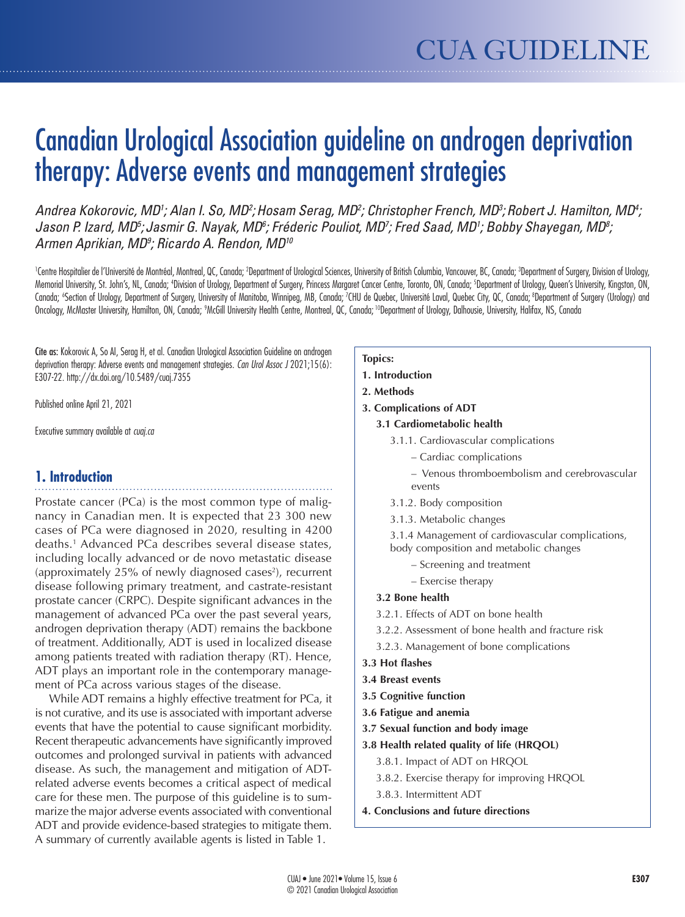# Canadian Urological Association guideline on androgen deprivation therapy: Adverse events and management strategies

Andrea Kokorovic, MD<sup>1</sup>; Alan I. So, MD<sup>2</sup>; Hosam Serag, MD<sup>2</sup>; Christopher French, MD<sup>3</sup>; Robert J. Hamilton, MD<sup>4</sup>; Jason P. Izard, MD<sup>5</sup>; Jasmir G. Nayak, MD<sup>6</sup>; Fréderic Pouliot, MD<sup>7</sup>; Fred Saad, MD<sup>1</sup>; Bobby Shayegan, MD<sup>8</sup>; *Armen Aprikian, MD9 ; Ricardo A. Rendon, MD10*

<sup>1</sup>Centre Hospitalier de l'Université de Montréal, Montreal, QC, Canada; <sup>2</sup>Department of Urological Sciences, University of British Columbia, Vancouver, BC, Canada; <sup>3</sup>Department of Surgery, Division of Urology, Memorial University, St. John's, NL, Canada; <sup>a</sup>Division of Urology, Department of Surgery, Princess Margaret Cancer Centre, Toronto, ON, Canada; <sup>s</sup>Department of Urology, Queen's University, Kingston, ON, Canada; «Section of Urology, Department of Surgery, University of Manitoba, Winnipeg, MB, Canada; 7CHU de Quebec, Université Laval, Quebec City, QC, Canada; ®Department of Surgery (Urology) and Oncology, McMaster University, Hamilton, ON, Canada; <sup>9</sup>McGill University Health Centre, Montreal, QC, Canada; <sup>10</sup>Department of Urology, Dalhousie, University, Halifax, NS, Canada

Cite as: Kokorovic A, So AI, Serag H, et al. Canadian Urological Association Guideline on androgen deprivation therapy: Adverse events and management strategies. *Can Urol Assoc J* 2021;15(6): E307-22. http://dx.doi.org/10.5489/cuaj.7355

Published online April 21, 2021

Executive summary available at *cuaj.ca*

# **1. Introduction**

Prostate cancer (PCa) is the most common type of malignancy in Canadian men. It is expected that 23 300 new cases of PCa were diagnosed in 2020, resulting in 4200 deaths.1 Advanced PCa describes several disease states, including locally advanced or de novo metastatic disease (approximately 25% of newly diagnosed cases<sup>2</sup>), recurrent disease following primary treatment, and castrate-resistant prostate cancer (CRPC). Despite significant advances in the management of advanced PCa over the past several years, androgen deprivation therapy (ADT) remains the backbone of treatment. Additionally, ADT is used in localized disease among patients treated with radiation therapy (RT). Hence, ADT plays an important role in the contemporary management of PCa across various stages of the disease.

While ADT remains a highly effective treatment for PCa, it is not curative, and its use is associated with important adverse events that have the potential to cause significant morbidity. Recent therapeutic advancements have significantly improved outcomes and prolonged survival in patients with advanced disease. As such, the management and mitigation of ADTrelated adverse events becomes a critical aspect of medical care for these men. The purpose of this guideline is to summarize the major adverse events associated with conventional ADT and provide evidence-based strategies to mitigate them. A summary of currently available agents is listed in Table 1.

#### **Topics:**

- **1. Introduction**
- **2. Methods**
- **3. Complications of ADT**
	- **3.1 Cardiometabolic health**
		- 3.1.1. Cardiovascular complications
			- Cardiac complications
			- Venous thromboembolism and cerebrovascular events
		- 3.1.2. Body composition
		- 3.1.3. Metabolic changes

3.1.4 Management of cardiovascular complications, body composition and metabolic changes

- Screening and treatment
- Exercise therapy

#### **3.2 Bone health**

- 3.2.1. Effects of ADT on bone health
- 3.2.2. Assessment of bone health and fracture risk
- 3.2.3. Management of bone complications
- **3.3 Hot flashes**
- **3.4 Breast events**
- **3.5 Cognitive function**
- **3.6 Fatigue and anemia**
- **3.7 Sexual function and body image**
- **3.8 Health related quality of life (HRQOL)**
	- 3.8.1. Impact of ADT on HRQOL
	- 3.8.2. Exercise therapy for improving HRQOL
	- 3.8.3. Intermittent ADT
- **4. Conclusions and future directions**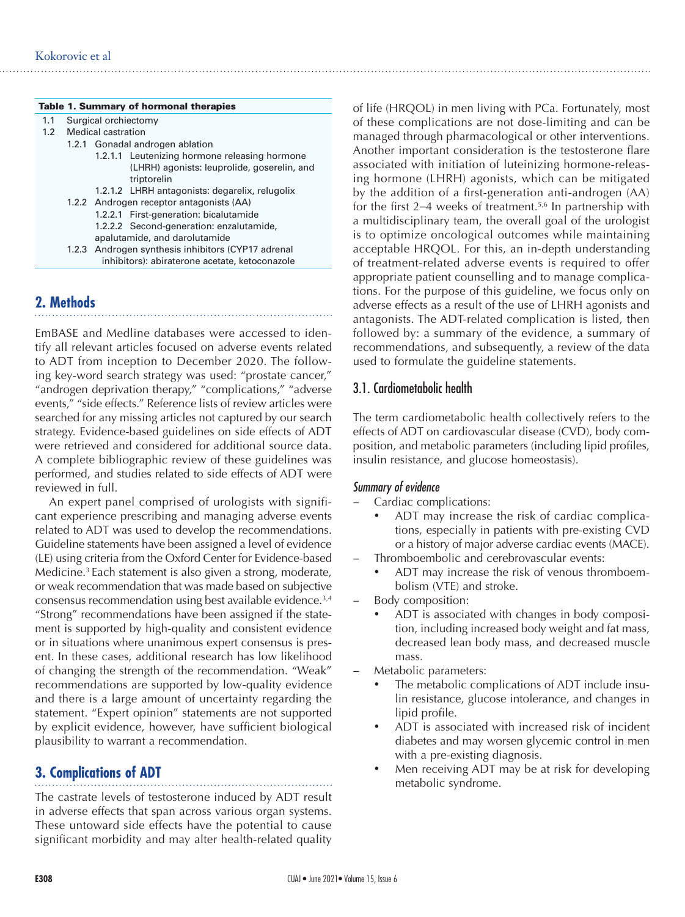#### Table 1. Summary of hormonal therapies

- 1.1 Surgical orchiectomy
- 1.2 Medical castration
	- 1.2.1 Gonadal androgen ablation
		- 1.2.1.1 Leutenizing hormone releasing hormone (LHRH) agonists: leuprolide, goserelin, and triptorelin
		- 1.2.1.2 LHRH antagonists: degarelix, relugolix
	- 1.2.2 Androgen receptor antagonists (AA)
		- 1.2.2.1 First-generation: bicalutamide 1.2.2.2 Second-generation: enzalutamide,
	- apalutamide, and darolutamide 1.2.3 Androgen synthesis inhibitors (CYP17 adrenal inhibitors): abiraterone acetate, ketoconazole

# **2. Methods**

EmBASE and Medline databases were accessed to identify all relevant articles focused on adverse events related to ADT from inception to December 2020. The following key-word search strategy was used: "prostate cancer," "androgen deprivation therapy," "complications," "adverse events," "side effects." Reference lists of review articles were searched for any missing articles not captured by our search strategy. Evidence-based guidelines on side effects of ADT were retrieved and considered for additional source data. A complete bibliographic review of these guidelines was performed, and studies related to side effects of ADT were reviewed in full.

An expert panel comprised of urologists with significant experience prescribing and managing adverse events related to ADT was used to develop the recommendations. Guideline statements have been assigned a level of evidence (LE) using criteria from the Oxford Center for Evidence-based Medicine.<sup>3</sup> Each statement is also given a strong, moderate, or weak recommendation that was made based on subjective consensus recommendation using best available evidence.3,4 "Strong" recommendations have been assigned if the statement is supported by high-quality and consistent evidence or in situations where unanimous expert consensus is present. In these cases, additional research has low likelihood of changing the strength of the recommendation. "Weak" recommendations are supported by low-quality evidence and there is a large amount of uncertainty regarding the statement. "Expert opinion" statements are not supported by explicit evidence, however, have sufficient biological plausibility to warrant a recommendation.

# **3. Complications of ADT**

The castrate levels of testosterone induced by ADT result in adverse effects that span across various organ systems. These untoward side effects have the potential to cause significant morbidity and may alter health-related quality of life (HRQOL) in men living with PCa. Fortunately, most of these complications are not dose-limiting and can be managed through pharmacological or other interventions. Another important consideration is the testosterone flare associated with initiation of luteinizing hormone-releasing hormone (LHRH) agonists, which can be mitigated by the addition of a first-generation anti-androgen (AA) for the first  $2-4$  weeks of treatment.<sup>5,6</sup> In partnership with a multidisciplinary team, the overall goal of the urologist is to optimize oncological outcomes while maintaining acceptable HRQOL. For this, an in-depth understanding of treatment-related adverse events is required to offer appropriate patient counselling and to manage complications. For the purpose of this guideline, we focus only on adverse effects as a result of the use of LHRH agonists and antagonists. The ADT-related complication is listed, then followed by: a summary of the evidence, a summary of recommendations, and subsequently, a review of the data used to formulate the guideline statements.

## 3.1. Cardiometabolic health

The term cardiometabolic health collectively refers to the effects of ADT on cardiovascular disease (CVD), body composition, and metabolic parameters (including lipid profiles, insulin resistance, and glucose homeostasis).

#### *Summary of evidence*

- Cardiac complications:
	- ADT may increase the risk of cardiac complications, especially in patients with pre-existing CVD or a history of major adverse cardiac events (MACE).
- Thromboembolic and cerebrovascular events:
	- ADT may increase the risk of venous thromboembolism (VTE) and stroke.
- Body composition:
	- ADT is associated with changes in body composition, including increased body weight and fat mass, decreased lean body mass, and decreased muscle mass.
- Metabolic parameters:
	- The metabolic complications of ADT include insulin resistance, glucose intolerance, and changes in lipid profile.
	- ADT is associated with increased risk of incident diabetes and may worsen glycemic control in men with a pre-existing diagnosis.
	- Men receiving ADT may be at risk for developing metabolic syndrome.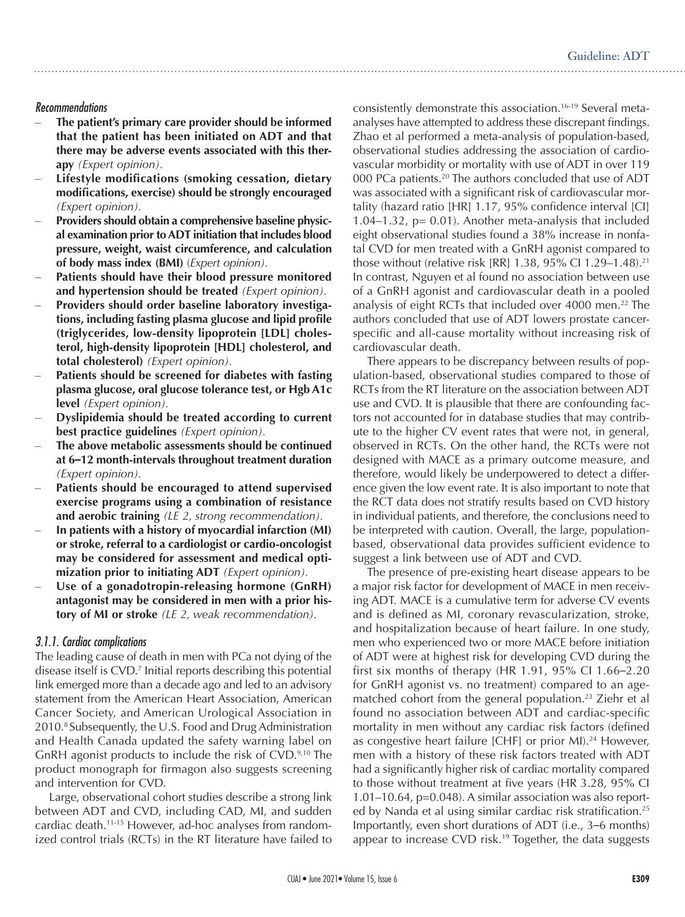#### *Recommendations*

- The patient's primary care provider should be informed **that the patient has been initiated on ADT and that there may be adverse events associated with this therapy** *(Expert opinion).*
- Lifestyle modifications (smoking cessation, dietary **modifications, exercise) should be strongly encouraged** *(Expert opinion).*
- **Providers should obtain a comprehensive baseline physical examination prior to ADT initiation that includes blood pressure, weight, waist circumference, and calculation of body mass index (BMI)** (*Expert opinion).*
- Patients should have their blood pressure monitored **and hypertension should be treated** *(Expert opinion).*
- Providers should order baseline laboratory investiga**tions, including fasting plasma glucose and lipid profile (triglycerides, low-density lipoprotein [LDL] cholesterol, high-density lipoprotein [HDL] cholesterol, and total cholesterol)** *(Expert opinion).*
- Patients should be screened for diabetes with fasting **plasma glucose, oral glucose tolerance test, or Hgb A1c level** *(Expert opinion).*
- **Dyslipidemia should be treated according to current best practice guidelines** *(Expert opinion).*
- The above metabolic assessments should be continued **at 6–12 month-intervals throughout treatment duration**  *(Expert opinion).*
- Patients should be encouraged to attend supervised **exercise programs using a combination of resistance and aerobic training** *(LE 2, strong recommendation).*
- In patients with a history of myocardial infarction (MI) **or stroke, referral to a cardiologist or cardio-oncologist may be considered for assessment and medical optimization prior to initiating ADT** *(Expert opinion).*
- Use of a gonadotropin-releasing hormone (GnRH) **antagonist may be considered in men with a prior history of MI or stroke** *(LE 2, weak recommendation).*

#### *3.1.1. Cardiac complications*

The leading cause of death in men with PCa not dying of the disease itself is CVD.7 Initial reports describing this potential link emerged more than a decade ago and led to an advisory statement from the American Heart Association, American Cancer Society, and American Urological Association in 2010. <sup>8</sup> Subsequently, the U.S. Food and Drug Administration and Health Canada updated the safety warning label on GnRH agonist products to include the risk of CVD.<sup>9,10</sup> The product monograph for firmagon also suggests screening and intervention for CVD.

Large, observational cohort studies describe a strong link between ADT and CVD, including CAD, MI, and sudden cardiac death.11-15 However, ad-hoc analyses from randomized control trials (RCTs) in the RT literature have failed to consistently demonstrate this association.16-19 Several metaanalyses have attempted to address these discrepant findings. Zhao et al performed a meta-analysis of population-based, observational studies addressing the association of cardiovascular morbidity or mortality with use of ADT in over 119 000 PCa patients.<sup>20</sup> The authors concluded that use of ADT was associated with a significant risk of cardiovascular mortality (hazard ratio [HR] 1.17, 95% confidence interval [CI] 1.04–1.32, p= 0.01). Another meta-analysis that included eight observational studies found a 38% increase in nonfatal CVD for men treated with a GnRH agonist compared to those without (relative risk [RR] 1.38, 95% CI 1.29–1.48).21 In contrast, Nguyen et al found no association between use of a GnRH agonist and cardiovascular death in a pooled analysis of eight RCTs that included over 4000 men.<sup>22</sup> The authors concluded that use of ADT lowers prostate cancerspecific and all-cause mortality without increasing risk of cardiovascular death.

There appears to be discrepancy between results of population-based, observational studies compared to those of RCTs from the RT literature on the association between ADT use and CVD. It is plausible that there are confounding factors not accounted for in database studies that may contribute to the higher CV event rates that were not, in general, observed in RCTs. On the other hand, the RCTs were not designed with MACE as a primary outcome measure, and therefore, would likely be underpowered to detect a difference given the low event rate. It is also important to note that the RCT data does not stratify results based on CVD history in individual patients, and therefore, the conclusions need to be interpreted with caution. Overall, the large, populationbased, observational data provides sufficient evidence to suggest a link between use of ADT and CVD.

The presence of pre-existing heart disease appears to be a major risk factor for development of MACE in men receiving ADT. MACE is a cumulative term for adverse CV events and is defined as MI, coronary revascularization, stroke, and hospitalization because of heart failure. In one study, men who experienced two or more MACE before initiation of ADT were at highest risk for developing CVD during the first six months of therapy (HR 1.91, 95% CI 1.66–2.20 for GnRH agonist vs. no treatment) compared to an agematched cohort from the general population.<sup>23</sup> Ziehr et al found no association between ADT and cardiac-specific mortality in men without any cardiac risk factors (defined as congestive heart failure [CHF] or prior MI).<sup>24</sup> However, men with a history of these risk factors treated with ADT had a significantly higher risk of cardiac mortality compared to those without treatment at five years (HR 3.28, 95% CI 1.01–10.64, p=0.048). A similar association was also reported by Nanda et al using similar cardiac risk stratification.<sup>25</sup> Importantly, even short durations of ADT (i.e., 3–6 months) appear to increase CVD risk.<sup>19</sup> Together, the data suggests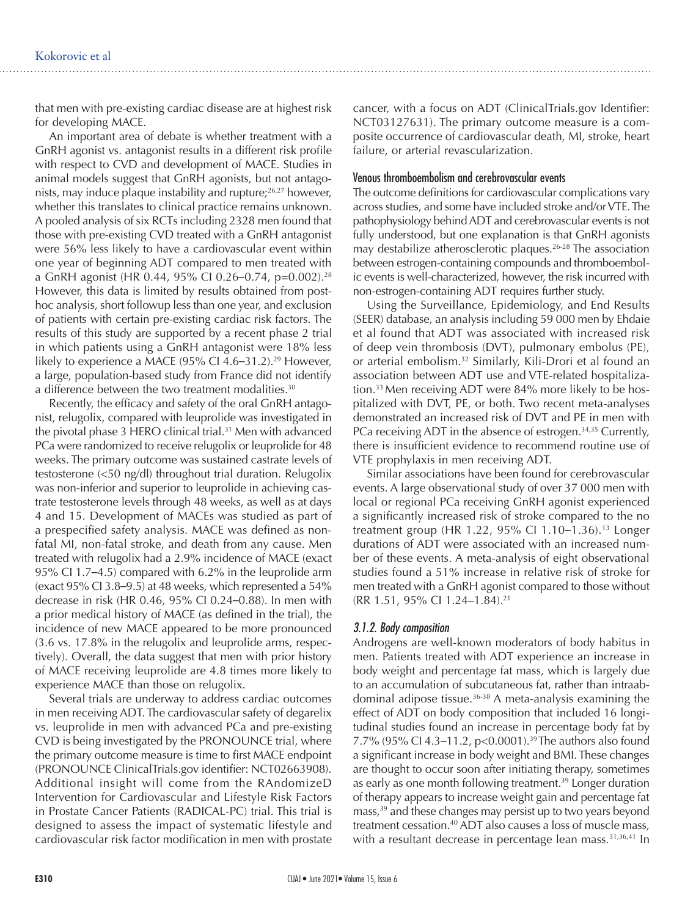that men with pre-existing cardiac disease are at highest risk for developing MACE.

An important area of debate is whether treatment with a GnRH agonist vs. antagonist results in a different risk profile with respect to CVD and development of MACE. Studies in animal models suggest that GnRH agonists, but not antagonists, may induce plaque instability and rupture;26,27 however, whether this translates to clinical practice remains unknown. A pooled analysis of six RCTs including 2328 men found that those with pre-existing CVD treated with a GnRH antagonist were 56% less likely to have a cardiovascular event within one year of beginning ADT compared to men treated with a GnRH agonist (HR 0.44, 95% CI 0.26-0.74, p=0.002).<sup>28</sup> However, this data is limited by results obtained from posthoc analysis, short followup less than one year, and exclusion of patients with certain pre-existing cardiac risk factors. The results of this study are supported by a recent phase 2 trial in which patients using a GnRH antagonist were 18% less likely to experience a MACE (95% CI 4.6–31.2).<sup>29</sup> However, a large, population-based study from France did not identify a difference between the two treatment modalities.<sup>30</sup>

Recently, the efficacy and safety of the oral GnRH antagonist, relugolix, compared with leuprolide was investigated in the pivotal phase 3 HERO clinical trial.<sup>31</sup> Men with advanced PCa were randomized to receive relugolix or leuprolide for 48 weeks. The primary outcome was sustained castrate levels of testosterone (<50 ng/dl) throughout trial duration. Relugolix was non-inferior and superior to leuprolide in achieving castrate testosterone levels through 48 weeks, as well as at days 4 and 15. Development of MACEs was studied as part of a prespecified safety analysis. MACE was defined as nonfatal MI, non-fatal stroke, and death from any cause. Men treated with relugolix had a 2.9% incidence of MACE (exact 95% CI 1.7–4.5) compared with 6.2% in the leuprolide arm (exact 95% CI 3.8–9.5) at 48 weeks, which represented a 54% decrease in risk (HR 0.46, 95% CI 0.24–0.88). In men with a prior medical history of MACE (as defined in the trial), the incidence of new MACE appeared to be more pronounced (3.6 vs. 17.8% in the relugolix and leuprolide arms, respectively). Overall, the data suggest that men with prior history of MACE receiving leuprolide are 4.8 times more likely to experience MACE than those on relugolix.

Several trials are underway to address cardiac outcomes in men receiving ADT. The cardiovascular safety of degarelix vs. leuprolide in men with advanced PCa and pre-existing CVD is being investigated by the PRONOUNCE trial, where the primary outcome measure is time to first MACE endpoint (PRONOUNCE ClinicalTrials.gov identifier: NCT02663908). Additional insight will come from the RAndomizeD Intervention for Cardiovascular and Lifestyle Risk Factors in Prostate Cancer Patients (RADICAL-PC) trial. This trial is designed to assess the impact of systematic lifestyle and cardiovascular risk factor modification in men with prostate cancer, with a focus on ADT (ClinicalTrials.gov Identifier: NCT03127631). The primary outcome measure is a composite occurrence of cardiovascular death, MI, stroke, heart failure, or arterial revascularization.

#### Venous thromboembolism and cerebrovascular events

The outcome definitions for cardiovascular complications vary across studies, and some have included stroke and/or VTE. The pathophysiology behind ADT and cerebrovascular events is not fully understood, but one explanation is that GnRH agonists may destabilize atherosclerotic plaques.<sup>26-28</sup> The association between estrogen-containing compounds and thromboembolic events is well-characterized, however, the risk incurred with non-estrogen-containing ADT requires further study.

Using the Surveillance, Epidemiology, and End Results (SEER) database, an analysis including 59 000 men by Ehdaie et al found that ADT was associated with increased risk of deep vein thrombosis (DVT), pulmonary embolus (PE), or arterial embolism.32 Similarly, Kili-Drori et al found an association between ADT use and VTE-related hospitalization.<sup>33</sup> Men receiving ADT were 84% more likely to be hospitalized with DVT, PE, or both. Two recent meta-analyses demonstrated an increased risk of DVT and PE in men with PCa receiving ADT in the absence of estrogen.<sup>34,35</sup> Currently, there is insufficient evidence to recommend routine use of VTE prophylaxis in men receiving ADT.

Similar associations have been found for cerebrovascular events. A large observational study of over 37 000 men with local or regional PCa receiving GnRH agonist experienced a significantly increased risk of stroke compared to the no treatment group (HR 1.22, 95% CI 1.10-1.36).<sup>13</sup> Longer durations of ADT were associated with an increased number of these events. A meta-analysis of eight observational studies found a 51% increase in relative risk of stroke for men treated with a GnRH agonist compared to those without (RR 1.51, 95% CI 1.24–1.84).21

#### *3.1.2. Body composition*

Androgens are well-known moderators of body habitus in men. Patients treated with ADT experience an increase in body weight and percentage fat mass, which is largely due to an accumulation of subcutaneous fat, rather than intraabdominal adipose tissue.<sup>36-38</sup> A meta-analysis examining the effect of ADT on body composition that included 16 longitudinal studies found an increase in percentage body fat by 7.7% (95% CI 4.3-11.2, p<0.0001).<sup>39</sup> The authors also found a significant increase in body weight and BMI. These changes are thought to occur soon after initiating therapy, sometimes as early as one month following treatment.<sup>39</sup> Longer duration of therapy appears to increase weight gain and percentage fat mass,<sup>39</sup> and these changes may persist up to two years beyond treatment cessation.<sup>40</sup> ADT also causes a loss of muscle mass, with a resultant decrease in percentage lean mass.<sup>31,36,41</sup> In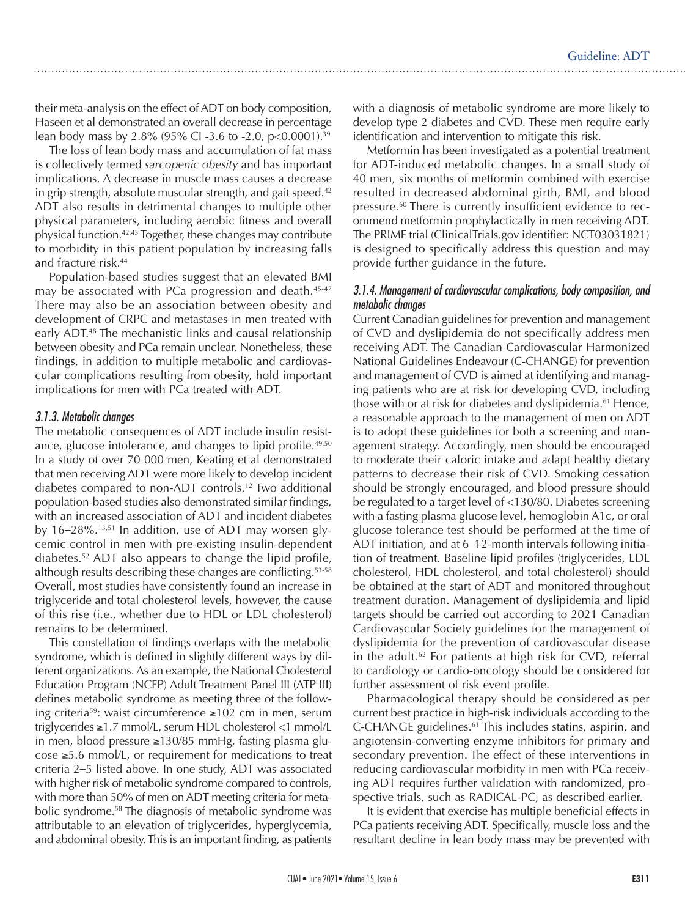their meta-analysis on the effect of ADT on body composition, Haseen et al demonstrated an overall decrease in percentage lean body mass by 2.8% (95% CI -3.6 to -2.0, p<0.0001).<sup>39</sup>

The loss of lean body mass and accumulation of fat mass is collectively termed *sarcopenic obesity* and has important implications. A decrease in muscle mass causes a decrease in grip strength, absolute muscular strength, and gait speed.<sup>42</sup> ADT also results in detrimental changes to multiple other physical parameters, including aerobic fitness and overall physical function.42,43 Together, these changes may contribute to morbidity in this patient population by increasing falls and fracture risk.44

Population-based studies suggest that an elevated BMI may be associated with PCa progression and death.<sup>45-47</sup> There may also be an association between obesity and development of CRPC and metastases in men treated with early ADT.<sup>48</sup> The mechanistic links and causal relationship between obesity and PCa remain unclear. Nonetheless, these findings, in addition to multiple metabolic and cardiovascular complications resulting from obesity, hold important implications for men with PCa treated with ADT.

#### *3.1.3. Metabolic changes*

The metabolic consequences of ADT include insulin resistance, glucose intolerance, and changes to lipid profile.<sup>49,50</sup> In a study of over 70 000 men, Keating et al demonstrated that men receiving ADT were more likely to develop incident diabetes compared to non-ADT controls.12 Two additional population-based studies also demonstrated similar findings, with an increased association of ADT and incident diabetes by 16–28%.13,51 In addition, use of ADT may worsen glycemic control in men with pre-existing insulin-dependent diabetes.52 ADT also appears to change the lipid profile, although results describing these changes are conflicting.53-58 Overall, most studies have consistently found an increase in triglyceride and total cholesterol levels, however, the cause of this rise (i.e., whether due to HDL or LDL cholesterol) remains to be determined.

This constellation of findings overlaps with the metabolic syndrome, which is defined in slightly different ways by different organizations. As an example, the National Cholesterol Education Program (NCEP) Adult Treatment Panel III (ATP III) defines metabolic syndrome as meeting three of the following criteria59: waist circumference ≥102 cm in men, serum triglycerides ≥1.7 mmol/L, serum HDL cholesterol <1 mmol/L in men, blood pressure ≥130/85 mmHg, fasting plasma glucose ≥5.6 mmol/L, or requirement for medications to treat criteria 2–5 listed above. In one study, ADT was associated with higher risk of metabolic syndrome compared to controls, with more than 50% of men on ADT meeting criteria for metabolic syndrome.58 The diagnosis of metabolic syndrome was attributable to an elevation of triglycerides, hyperglycemia, and abdominal obesity. This is an important finding, as patients

with a diagnosis of metabolic syndrome are more likely to develop type 2 diabetes and CVD. These men require early identification and intervention to mitigate this risk.

Metformin has been investigated as a potential treatment for ADT-induced metabolic changes. In a small study of 40 men, six months of metformin combined with exercise resulted in decreased abdominal girth, BMI, and blood pressure.<sup>60</sup> There is currently insufficient evidence to recommend metformin prophylactically in men receiving ADT. The PRIME trial (ClinicalTrials.gov identifier: NCT03031821) is designed to specifically address this question and may provide further guidance in the future.

#### *3.1.4. Management of cardiovascular complications, body composition, and metabolic changes*

Current Canadian guidelines for prevention and management of CVD and dyslipidemia do not specifically address men receiving ADT. The Canadian Cardiovascular Harmonized National Guidelines Endeavour (C-CHANGE) for prevention and management of CVD is aimed at identifying and managing patients who are at risk for developing CVD, including those with or at risk for diabetes and dyslipidemia.<sup>61</sup> Hence, a reasonable approach to the management of men on ADT is to adopt these guidelines for both a screening and management strategy. Accordingly, men should be encouraged to moderate their caloric intake and adapt healthy dietary patterns to decrease their risk of CVD. Smoking cessation should be strongly encouraged, and blood pressure should be regulated to a target level of <130/80. Diabetes screening with a fasting plasma glucose level, hemoglobin A1c, or oral glucose tolerance test should be performed at the time of ADT initiation, and at 6–12-month intervals following initiation of treatment. Baseline lipid profiles (triglycerides, LDL cholesterol, HDL cholesterol, and total cholesterol) should be obtained at the start of ADT and monitored throughout treatment duration. Management of dyslipidemia and lipid targets should be carried out according to 2021 Canadian Cardiovascular Society guidelines for the management of dyslipidemia for the prevention of cardiovascular disease in the adult.<sup>62</sup> For patients at high risk for CVD, referral to cardiology or cardio-oncology should be considered for further assessment of risk event profile.

Pharmacological therapy should be considered as per current best practice in high-risk individuals according to the C-CHANGE guidelines.61 This includes statins, aspirin, and angiotensin-converting enzyme inhibitors for primary and secondary prevention. The effect of these interventions in reducing cardiovascular morbidity in men with PCa receiving ADT requires further validation with randomized, prospective trials, such as RADICAL-PC, as described earlier.

It is evident that exercise has multiple beneficial effects in PCa patients receiving ADT. Specifically, muscle loss and the resultant decline in lean body mass may be prevented with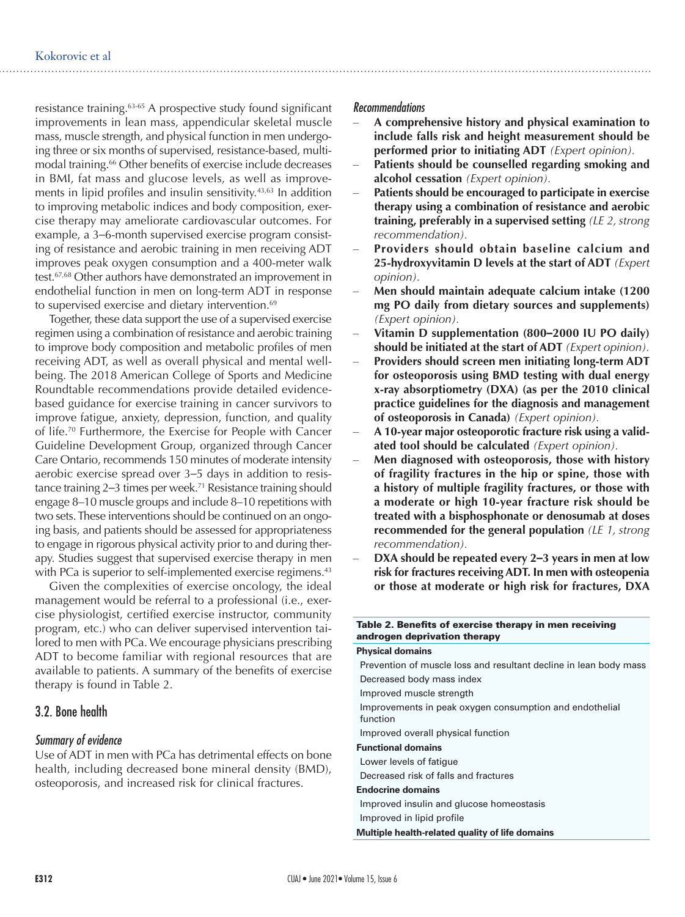resistance training.63-65 A prospective study found significant improvements in lean mass, appendicular skeletal muscle mass, muscle strength, and physical function in men undergoing three or six months of supervised, resistance-based, multimodal training.<sup>66</sup> Other benefits of exercise include decreases in BMI, fat mass and glucose levels, as well as improvements in lipid profiles and insulin sensitivity.<sup>43,63</sup> In addition to improving metabolic indices and body composition, exercise therapy may ameliorate cardiovascular outcomes. For example, a 3–6-month supervised exercise program consisting of resistance and aerobic training in men receiving ADT improves peak oxygen consumption and a 400-meter walk test.67,68 Other authors have demonstrated an improvement in endothelial function in men on long-term ADT in response to supervised exercise and dietary intervention.<sup>69</sup>

Together, these data support the use of a supervised exercise regimen using a combination of resistance and aerobic training to improve body composition and metabolic profiles of men receiving ADT, as well as overall physical and mental wellbeing. The 2018 American College of Sports and Medicine Roundtable recommendations provide detailed evidencebased guidance for exercise training in cancer survivors to improve fatigue, anxiety, depression, function, and quality of life.70 Furthermore, the Exercise for People with Cancer Guideline Development Group, organized through Cancer Care Ontario, recommends 150 minutes of moderate intensity aerobic exercise spread over 3–5 days in addition to resistance training 2–3 times per week.<sup>71</sup> Resistance training should engage 8–10 muscle groups and include 8–10 repetitions with two sets. These interventions should be continued on an ongoing basis, and patients should be assessed for appropriateness to engage in rigorous physical activity prior to and during therapy. Studies suggest that supervised exercise therapy in men with PCa is superior to self-implemented exercise regimens.<sup>43</sup>

Given the complexities of exercise oncology, the ideal management would be referral to a professional (i.e., exercise physiologist, certified exercise instructor, community program, etc.) who can deliver supervised intervention tailored to men with PCa. We encourage physicians prescribing ADT to become familiar with regional resources that are available to patients. A summary of the benefits of exercise therapy is found in Table 2.

### 3.2. Bone health

#### *Summary of evidence*

Use of ADT in men with PCa has detrimental effects on bone health, including decreased bone mineral density (BMD), osteoporosis, and increased risk for clinical fractures.

#### *Recommendations*

- – **A comprehensive history and physical examination to include falls risk and height measurement should be performed prior to initiating ADT** *(Expert opinion).*
- Patients should be counselled regarding smoking and **alcohol cessation** *(Expert opinion).*
- Patients should be encouraged to participate in exercise **therapy using a combination of resistance and aerobic training, preferably in a supervised setting** *(LE 2, strong recommendation).*
- **Providers should obtain baseline calcium and 25-hydroxyvitamin D levels at the start of ADT** *(Expert opinion).*
- Men should maintain adequate calcium intake (1200 **mg PO daily from dietary sources and supplements)** *(Expert opinion).*
- **Vitamin D supplementation (800–2000 IU PO daily) should be initiated at the start of ADT** *(Expert opinion).*
- Providers should screen men initiating long-term ADT **for osteoporosis using BMD testing with dual energy x-ray absorptiometry (DXA) (as per the 2010 clinical practice guidelines for the diagnosis and management of osteoporosis in Canada)** *(Expert opinion).*
- A 10-year major osteoporotic fracture risk using a valid**ated tool should be calculated** *(Expert opinion).*
- Men diagnosed with osteoporosis, those with history **of fragility fractures in the hip or spine, those with a history of multiple fragility fractures, or those with a moderate or high 10-year fracture risk should be treated with a bisphosphonate or denosumab at doses recommended for the general population** *(LE 1, strong recommendation).*
- **DXA should be repeated every 2–3 years in men at low risk for fractures receiving ADT. In men with osteopenia or those at moderate or high risk for fractures, DXA**

| Table 2. Benefits of exercise therapy in men receiving<br>androgen deprivation therapy |
|----------------------------------------------------------------------------------------|
| <b>Physical domains</b>                                                                |
| Prevention of muscle loss and resultant decline in lean body mass                      |
| Decreased body mass index                                                              |
| Improved muscle strength                                                               |
| Improvements in peak oxygen consumption and endothelial<br>function                    |
| Improved overall physical function                                                     |
| <b>Functional domains</b>                                                              |
| Lower levels of fatique                                                                |
| Decreased risk of falls and fractures                                                  |
| <b>Endocrine domains</b>                                                               |
| Improved insulin and glucose homeostasis                                               |
| Improved in lipid profile                                                              |
| Multiple health-related quality of life domains                                        |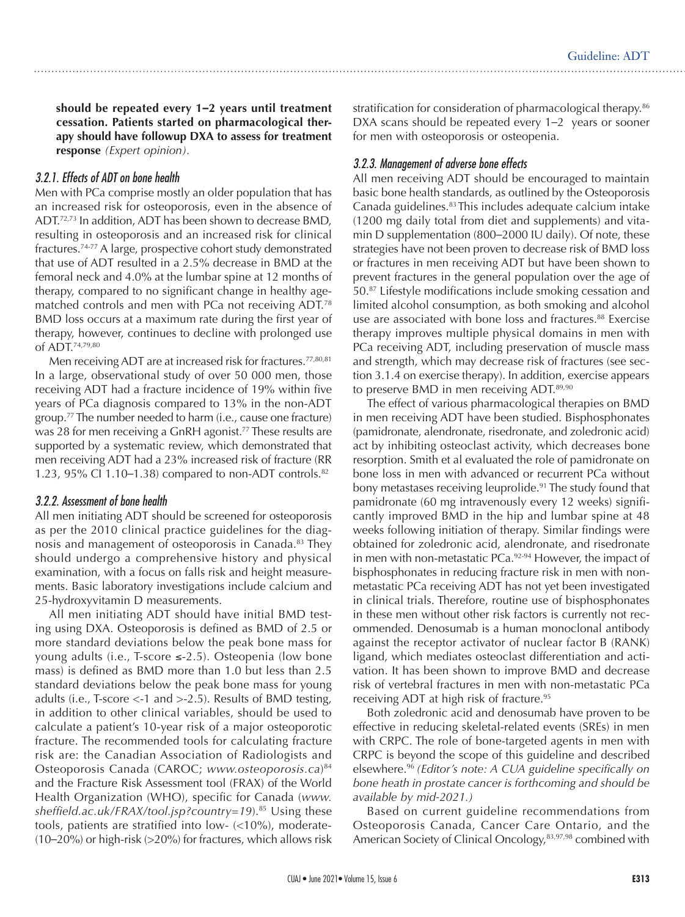**should be repeated every 1–2 years until treatment cessation. Patients started on pharmacological therapy should have followup DXA to assess for treatment response** *(Expert opinion).* 

#### *3.2.1. Effects of ADT on bone health*

Men with PCa comprise mostly an older population that has an increased risk for osteoporosis, even in the absence of ADT.72,73 In addition, ADT has been shown to decrease BMD, resulting in osteoporosis and an increased risk for clinical fractures.74-77 A large, prospective cohort study demonstrated that use of ADT resulted in a 2.5% decrease in BMD at the femoral neck and 4.0% at the lumbar spine at 12 months of therapy, compared to no significant change in healthy agematched controls and men with PCa not receiving ADT.78 BMD loss occurs at a maximum rate during the first year of therapy, however, continues to decline with prolonged use of ADT.74,79,80

Men receiving ADT are at increased risk for fractures.<sup>77,80,81</sup> In a large, observational study of over 50 000 men, those receiving ADT had a fracture incidence of 19% within five years of PCa diagnosis compared to 13% in the non-ADT group.77 The number needed to harm (i.e., cause one fracture) was 28 for men receiving a GnRH agonist.<sup>77</sup> These results are supported by a systematic review, which demonstrated that men receiving ADT had a 23% increased risk of fracture (RR 1.23, 95% CI 1.10–1.38) compared to non-ADT controls.<sup>82</sup>

#### *3.2.2. Assessment of bone health*

All men initiating ADT should be screened for osteoporosis as per the 2010 clinical practice guidelines for the diagnosis and management of osteoporosis in Canada.<sup>83</sup> They should undergo a comprehensive history and physical examination, with a focus on falls risk and height measurements. Basic laboratory investigations include calcium and 25-hydroxyvitamin D measurements.

All men initiating ADT should have initial BMD testing using DXA. Osteoporosis is defined as BMD of 2.5 or more standard deviations below the peak bone mass for young adults (i.e., T-score ≤-2.5). Osteopenia (low bone mass) is defined as BMD more than 1.0 but less than 2.5 standard deviations below the peak bone mass for young adults (i.e., T-score <-1 and >-2.5). Results of BMD testing, in addition to other clinical variables, should be used to calculate a patient's 10-year risk of a major osteoporotic fracture. The recommended tools for calculating fracture risk are: the Canadian Association of Radiologists and Osteoporosis Canada (CAROC; *www.osteoporosis.ca*) 84 and the Fracture Risk Assessment tool (FRAX) of the World Health Organization (WHO), specific for Canada (*www. sheffield.ac.uk/FRAX/tool.jsp?country=19*).85 Using these tools, patients are stratified into low- (<10%), moderate- (10–20%) or high-risk (>20%) for fractures, which allows risk stratification for consideration of pharmacological therapy.<sup>86</sup> DXA scans should be repeated every 1–2 years or sooner for men with osteoporosis or osteopenia.

### *3.2.3. Management of adverse bone effects*

All men receiving ADT should be encouraged to maintain basic bone health standards, as outlined by the Osteoporosis Canada guidelines.<sup>83</sup> This includes adequate calcium intake (1200 mg daily total from diet and supplements) and vitamin D supplementation (800–2000 IU daily). Of note, these strategies have not been proven to decrease risk of BMD loss or fractures in men receiving ADT but have been shown to prevent fractures in the general population over the age of 50.87 Lifestyle modifications include smoking cessation and limited alcohol consumption, as both smoking and alcohol use are associated with bone loss and fractures.<sup>88</sup> Exercise therapy improves multiple physical domains in men with PCa receiving ADT, including preservation of muscle mass and strength, which may decrease risk of fractures (see section 3.1.4 on exercise therapy). In addition, exercise appears to preserve BMD in men receiving ADT.<sup>89,90</sup>

The effect of various pharmacological therapies on BMD in men receiving ADT have been studied. Bisphosphonates (pamidronate, alendronate, risedronate, and zoledronic acid) act by inhibiting osteoclast activity, which decreases bone resorption. Smith et al evaluated the role of pamidronate on bone loss in men with advanced or recurrent PCa without bony metastases receiving leuprolide.<sup>91</sup> The study found that pamidronate (60 mg intravenously every 12 weeks) significantly improved BMD in the hip and lumbar spine at 48 weeks following initiation of therapy. Similar findings were obtained for zoledronic acid, alendronate, and risedronate in men with non-metastatic PCa.<sup>92-94</sup> However, the impact of bisphosphonates in reducing fracture risk in men with nonmetastatic PCa receiving ADT has not yet been investigated in clinical trials. Therefore, routine use of bisphosphonates in these men without other risk factors is currently not recommended. Denosumab is a human monoclonal antibody against the receptor activator of nuclear factor B (RANK) ligand, which mediates osteoclast differentiation and activation. It has been shown to improve BMD and decrease risk of vertebral fractures in men with non-metastatic PCa receiving ADT at high risk of fracture.95

Both zoledronic acid and denosumab have proven to be effective in reducing skeletal-related events (SREs) in men with CRPC. The role of bone-targeted agents in men with CRPC is beyond the scope of this guideline and described elsewhere.96 *(Editor's note: A CUA guideline specifically on bone heath in prostate cancer is forthcoming and should be available by mid-2021.)*

Based on current guideline recommendations from Osteoporosis Canada, Cancer Care Ontario, and the American Society of Clinical Oncology,<sup>83,97,98</sup> combined with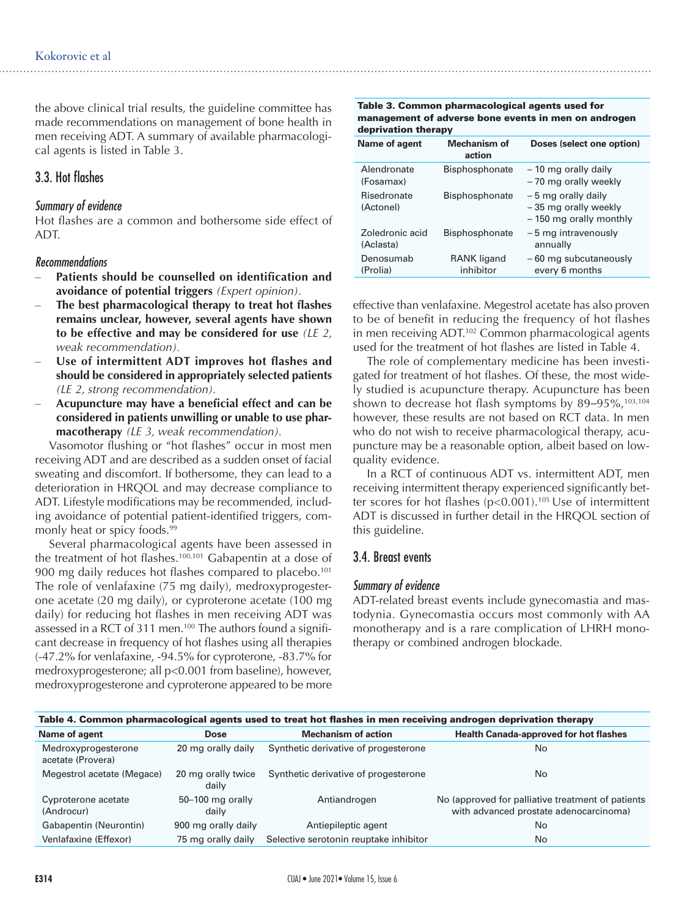the above clinical trial results, the guideline committee has made recommendations on management of bone health in men receiving ADT. A summary of available pharmacological agents is listed in Table 3.

# 3.3. Hot flashes

#### *Summary of evidence*

Hot flashes are a common and bothersome side effect of ADT.

#### *Recommendations*

- Patients should be counselled on identification and **avoidance of potential triggers** *(Expert opinion).*
- The best pharmacological therapy to treat hot flashes **remains unclear, however, several agents have shown to be effective and may be considered for use** *(LE 2, weak recommendation).*
- Use of intermittent ADT improves hot flashes and **should be considered in appropriately selected patients** *(LE 2, strong recommendation).*
- Acupuncture may have a beneficial effect and can be **considered in patients unwilling or unable to use pharmacotherapy** *(LE 3, weak recommendation).*

Vasomotor flushing or "hot flashes" occur in most men receiving ADT and are described as a sudden onset of facial sweating and discomfort. If bothersome, they can lead to a deterioration in HRQOL and may decrease compliance to ADT. Lifestyle modifications may be recommended, including avoidance of potential patient-identified triggers, commonly heat or spicy foods.<sup>99</sup>

Several pharmacological agents have been assessed in the treatment of hot flashes.<sup>100,101</sup> Gabapentin at a dose of 900 mg daily reduces hot flashes compared to placebo.<sup>101</sup> The role of venlafaxine (75 mg daily), medroxyprogesterone acetate (20 mg daily), or cyproterone acetate (100 mg daily) for reducing hot flashes in men receiving ADT was assessed in a RCT of 311 men.<sup>100</sup> The authors found a significant decrease in frequency of hot flashes using all therapies (-47.2% for venlafaxine, -94.5% for cyproterone, -83.7% for medroxyprogesterone; all p<0.001 from baseline), however, medroxyprogesterone and cyproterone appeared to be more

Table 3. Common pharmacological agents used for management of adverse bone events in men on androgen deprivation therapy

| Name of agent                | <b>Mechanism of</b><br>action   | Doses (select one option)                                             |
|------------------------------|---------------------------------|-----------------------------------------------------------------------|
| Alendronate<br>(Fosamax)     | <b>Bisphosphonate</b>           | - 10 mg orally daily<br>-70 mg orally weekly                          |
| Risedronate<br>(Actonel)     | <b>Bisphosphonate</b>           | -5 mg orally daily<br>-35 mg orally weekly<br>- 150 mg orally monthly |
| Zoledronic acid<br>(Aclasta) | Bisphosphonate                  | -5 mg intravenously<br>annually                                       |
| Denosumab<br>(Prolia)        | <b>RANK ligand</b><br>inhibitor | - 60 mg subcutaneously<br>every 6 months                              |
|                              |                                 |                                                                       |

effective than venlafaxine. Megestrol acetate has also proven to be of benefit in reducing the frequency of hot flashes in men receiving ADT.<sup>102</sup> Common pharmacological agents used for the treatment of hot flashes are listed in Table 4.

The role of complementary medicine has been investigated for treatment of hot flashes. Of these, the most widely studied is acupuncture therapy. Acupuncture has been shown to decrease hot flash symptoms by  $89-95\%$ ,  $103,104$ however, these results are not based on RCT data. In men who do not wish to receive pharmacological therapy, acupuncture may be a reasonable option, albeit based on lowquality evidence.

In a RCT of continuous ADT vs. intermittent ADT, men receiving intermittent therapy experienced significantly better scores for hot flashes  $(p<0.001)$ .<sup>105</sup> Use of intermittent ADT is discussed in further detail in the HRQOL section of this guideline.

#### 3.4. Breast events

#### *Summary of evidence*

ADT-related breast events include gynecomastia and mastodynia. Gynecomastia occurs most commonly with AA monotherapy and is a rare complication of LHRH monotherapy or combined androgen blockade.

| Table 4. Common pharmacological agents used to treat hot flashes in men receiving androgen deprivation therapy |                             |                                        |                                                                                             |  |  |
|----------------------------------------------------------------------------------------------------------------|-----------------------------|----------------------------------------|---------------------------------------------------------------------------------------------|--|--|
| Name of agent                                                                                                  | <b>Dose</b>                 | <b>Mechanism of action</b>             | <b>Health Canada-approved for hot flashes</b>                                               |  |  |
| Medroxyprogesterone<br>acetate (Provera)                                                                       | 20 mg orally daily          | Synthetic derivative of progesterone   | No                                                                                          |  |  |
| Megestrol acetate (Megace)                                                                                     | 20 mg orally twice<br>daily | Synthetic derivative of progesterone   | No                                                                                          |  |  |
| Cyproterone acetate<br>(Androcur)                                                                              | 50-100 mg orally<br>daily   | Antiandrogen                           | No (approved for palliative treatment of patients<br>with advanced prostate adenocarcinoma) |  |  |
| Gabapentin (Neurontin)                                                                                         | 900 mg orally daily         | Antiepileptic agent                    | No                                                                                          |  |  |
| Venlafaxine (Effexor)                                                                                          | 75 mg orally daily          | Selective serotonin reuptake inhibitor | No                                                                                          |  |  |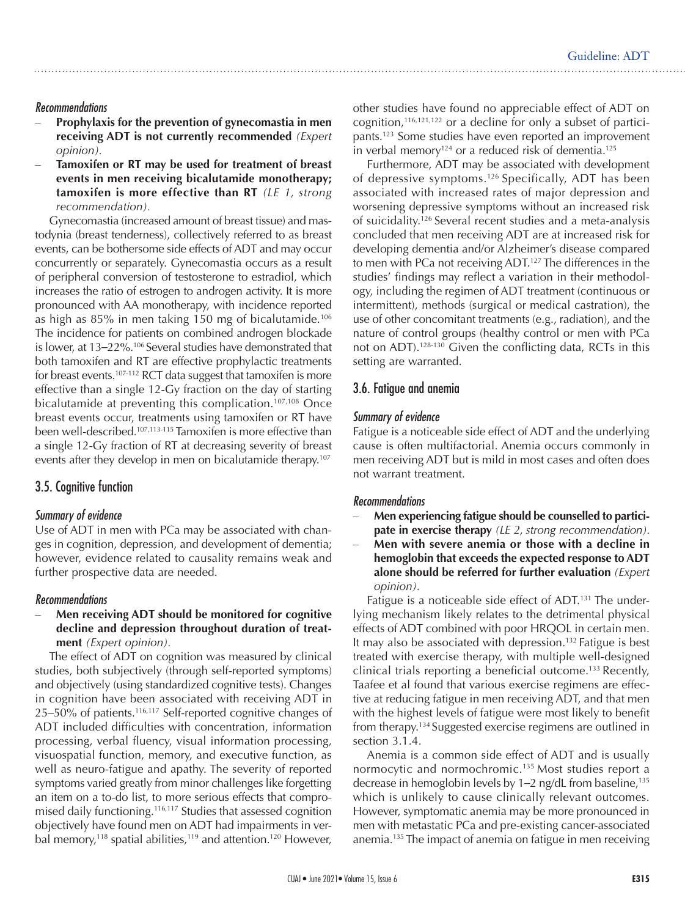#### *Recommendations*

- Prophylaxis for the prevention of gynecomastia in men **receiving ADT is not currently recommended** *(Expert opinion).*
- Tamoxifen or RT may be used for treatment of breast **events in men receiving bicalutamide monotherapy; tamoxifen is more effective than RT** *(LE 1, strong recommendation).*

Gynecomastia (increased amount of breast tissue) and mastodynia (breast tenderness), collectively referred to as breast events, can be bothersome side effects of ADT and may occur concurrently or separately. Gynecomastia occurs as a result of peripheral conversion of testosterone to estradiol, which increases the ratio of estrogen to androgen activity. It is more pronounced with AA monotherapy, with incidence reported as high as 85% in men taking 150 mg of bicalutamide.106 The incidence for patients on combined androgen blockade is lower, at 13–22%.106 Several studies have demonstrated that both tamoxifen and RT are effective prophylactic treatments for breast events.107-112 RCT data suggest that tamoxifen is more effective than a single 12-Gy fraction on the day of starting bicalutamide at preventing this complication.<sup>107,108</sup> Once breast events occur, treatments using tamoxifen or RT have been well-described.107,113-115 Tamoxifen is more effective than a single 12-Gy fraction of RT at decreasing severity of breast events after they develop in men on bicalutamide therapy.<sup>107</sup>

### 3.5. Cognitive function

#### *Summary of evidence*

Use of ADT in men with PCa may be associated with changes in cognition, depression, and development of dementia; however, evidence related to causality remains weak and further prospective data are needed.

#### *Recommendations*

#### **Men receiving ADT should be monitored for cognitive decline and depression throughout duration of treatment** *(Expert opinion).*

The effect of ADT on cognition was measured by clinical studies, both subjectively (through self-reported symptoms) and objectively (using standardized cognitive tests). Changes in cognition have been associated with receiving ADT in 25–50% of patients.116,117 Self-reported cognitive changes of ADT included difficulties with concentration, information processing, verbal fluency, visual information processing, visuospatial function, memory, and executive function, as well as neuro-fatigue and apathy. The severity of reported symptoms varied greatly from minor challenges like forgetting an item on a to-do list, to more serious effects that compromised daily functioning.116,117 Studies that assessed cognition objectively have found men on ADT had impairments in verbal memory,<sup>118</sup> spatial abilities,<sup>119</sup> and attention.<sup>120</sup> However, other studies have found no appreciable effect of ADT on cognition, $116,121,122$  or a decline for only a subset of participants.123 Some studies have even reported an improvement in verbal memory<sup>124</sup> or a reduced risk of dementia.<sup>125</sup>

Furthermore, ADT may be associated with development of depressive symptoms.126 Specifically, ADT has been associated with increased rates of major depression and worsening depressive symptoms without an increased risk of suicidality.126 Several recent studies and a meta-analysis concluded that men receiving ADT are at increased risk for developing dementia and/or Alzheimer's disease compared to men with PCa not receiving ADT.<sup>127</sup> The differences in the studies' findings may reflect a variation in their methodology, including the regimen of ADT treatment (continuous or intermittent), methods (surgical or medical castration), the use of other concomitant treatments (e.g., radiation), and the nature of control groups (healthy control or men with PCa not on ADT).128-130 Given the conflicting data, RCTs in this setting are warranted.

### 3.6. Fatigue and anemia

#### *Summary of evidence*

Fatigue is a noticeable side effect of ADT and the underlying cause is often multifactorial. Anemia occurs commonly in men receiving ADT but is mild in most cases and often does not warrant treatment.

#### *Recommendations*

- **Men experiencing fatigue should be counselled to participate in exercise therapy** *(LE 2, strong recommendation).*
- – **Men with severe anemia or those with a decline in hemoglobin that exceeds the expected response to ADT alone should be referred for further evaluation** *(Expert opinion).*

Fatigue is a noticeable side effect of ADT.<sup>131</sup> The underlying mechanism likely relates to the detrimental physical effects of ADT combined with poor HRQOL in certain men. It may also be associated with depression.<sup>132</sup> Fatigue is best treated with exercise therapy, with multiple well-designed clinical trials reporting a beneficial outcome.133 Recently, Taafee et al found that various exercise regimens are effective at reducing fatigue in men receiving ADT, and that men with the highest levels of fatigue were most likely to benefit from therapy.134 Suggested exercise regimens are outlined in section 3.1.4.

Anemia is a common side effect of ADT and is usually normocytic and normochromic.<sup>135</sup> Most studies report a decrease in hemoglobin levels by 1-2 ng/dL from baseline,<sup>135</sup> which is unlikely to cause clinically relevant outcomes. However, symptomatic anemia may be more pronounced in men with metastatic PCa and pre-existing cancer-associated anemia.135 The impact of anemia on fatigue in men receiving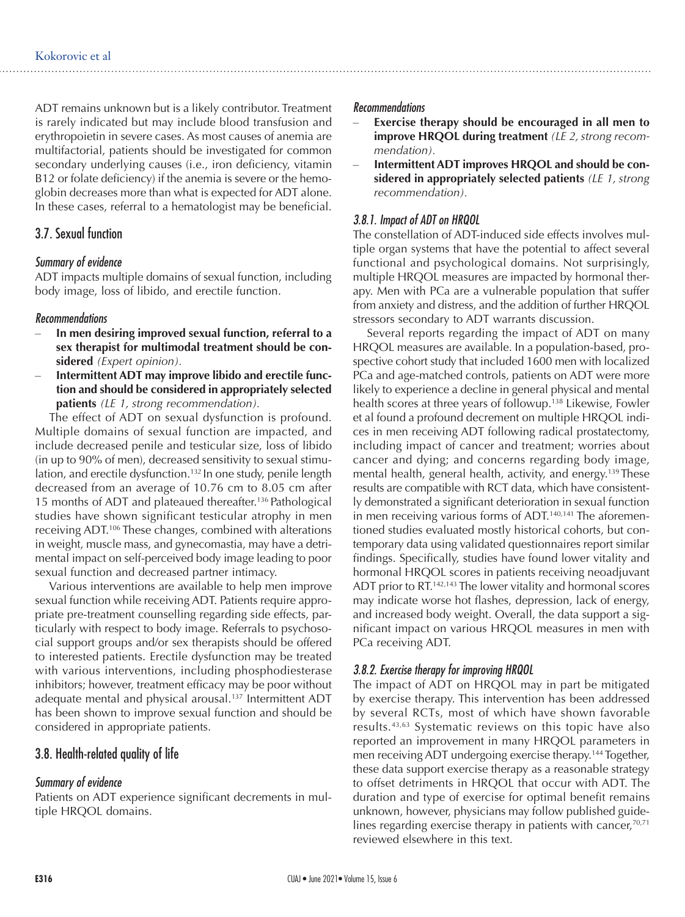ADT remains unknown but is a likely contributor. Treatment is rarely indicated but may include blood transfusion and erythropoietin in severe cases. As most causes of anemia are multifactorial, patients should be investigated for common secondary underlying causes (i.e., iron deficiency, vitamin B12 or folate deficiency) if the anemia is severe or the hemoglobin decreases more than what is expected for ADT alone. In these cases, referral to a hematologist may be beneficial.

#### 3.7. Sexual function

#### *Summary of evidence*

ADT impacts multiple domains of sexual function, including body image, loss of libido, and erectile function.

#### *Recommendations*

- In men desiring improved sexual function, referral to a **sex therapist for multimodal treatment should be considered** *(Expert opinion).*
- Intermittent ADT may improve libido and erectile func**tion and should be considered in appropriately selected patients** *(LE 1, strong recommendation).*

The effect of ADT on sexual dysfunction is profound. Multiple domains of sexual function are impacted, and include decreased penile and testicular size, loss of libido (in up to 90% of men), decreased sensitivity to sexual stimulation, and erectile dysfunction.<sup>132</sup> In one study, penile length decreased from an average of 10.76 cm to 8.05 cm after 15 months of ADT and plateaued thereafter.136 Pathological studies have shown significant testicular atrophy in men receiving ADT.106 These changes, combined with alterations in weight, muscle mass, and gynecomastia, may have a detrimental impact on self-perceived body image leading to poor sexual function and decreased partner intimacy.

Various interventions are available to help men improve sexual function while receiving ADT. Patients require appropriate pre-treatment counselling regarding side effects, particularly with respect to body image. Referrals to psychosocial support groups and/or sex therapists should be offered to interested patients. Erectile dysfunction may be treated with various interventions, including phosphodiesterase inhibitors; however, treatment efficacy may be poor without adequate mental and physical arousal.<sup>137</sup> Intermittent ADT has been shown to improve sexual function and should be considered in appropriate patients.

#### 3.8. Health-related quality of life

#### *Summary of evidence*

Patients on ADT experience significant decrements in multiple HRQOL domains.

#### *Recommendations*

- Exercise therapy should be encouraged in all men to **improve HRQOL during treatment** *(LE 2, strong recommendation).*
- Intermittent ADT improves HRQOL and should be con**sidered in appropriately selected patients** *(LE 1, strong recommendation).*

#### *3.8.1. Impact of ADT on HRQOL*

The constellation of ADT-induced side effects involves multiple organ systems that have the potential to affect several functional and psychological domains. Not surprisingly, multiple HRQOL measures are impacted by hormonal therapy. Men with PCa are a vulnerable population that suffer from anxiety and distress, and the addition of further HRQOL stressors secondary to ADT warrants discussion.

Several reports regarding the impact of ADT on many HRQOL measures are available. In a population-based, prospective cohort study that included 1600 men with localized PCa and age-matched controls, patients on ADT were more likely to experience a decline in general physical and mental health scores at three years of followup.138 Likewise, Fowler et al found a profound decrement on multiple HRQOL indices in men receiving ADT following radical prostatectomy, including impact of cancer and treatment; worries about cancer and dying; and concerns regarding body image, mental health, general health, activity, and energy.<sup>139</sup> These results are compatible with RCT data, which have consistently demonstrated a significant deterioration in sexual function in men receiving various forms of ADT.<sup>140,141</sup> The aforementioned studies evaluated mostly historical cohorts, but contemporary data using validated questionnaires report similar findings. Specifically, studies have found lower vitality and hormonal HRQOL scores in patients receiving neoadjuvant ADT prior to RT.<sup>142,143</sup> The lower vitality and hormonal scores may indicate worse hot flashes, depression, lack of energy, and increased body weight. Overall, the data support a significant impact on various HRQOL measures in men with PCa receiving ADT.

#### *3.8.2. Exercise therapy for improving HRQOL*

The impact of ADT on HRQOL may in part be mitigated by exercise therapy. This intervention has been addressed by several RCTs, most of which have shown favorable results.43,63 Systematic reviews on this topic have also reported an improvement in many HRQOL parameters in men receiving ADT undergoing exercise therapy.144 Together, these data support exercise therapy as a reasonable strategy to offset detriments in HRQOL that occur with ADT. The duration and type of exercise for optimal benefit remains unknown, however, physicians may follow published guidelines regarding exercise therapy in patients with cancer,  $70,71$ reviewed elsewhere in this text.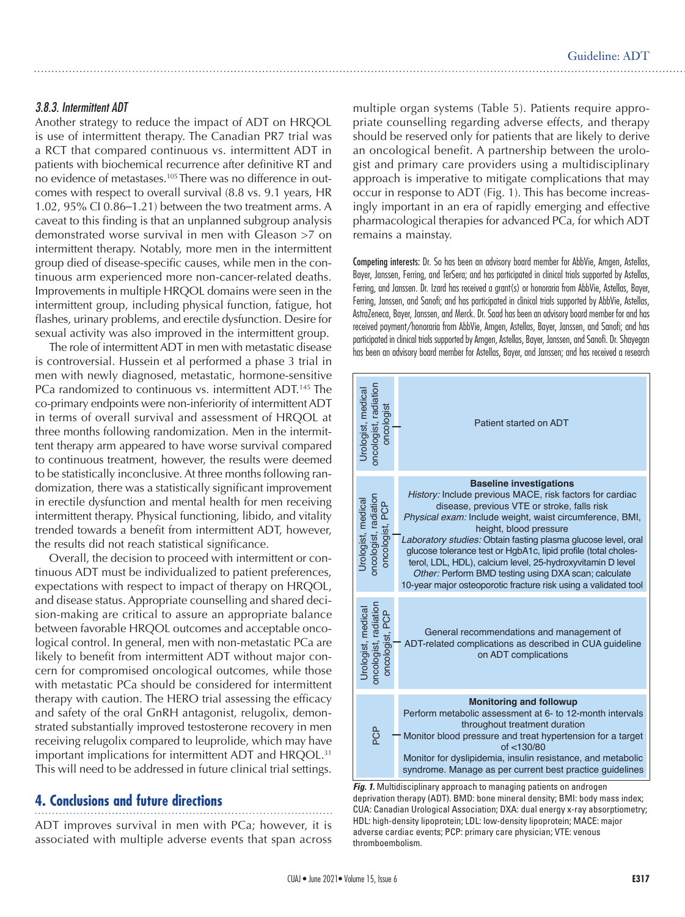#### *3.8.3. Intermittent ADT*

Another strategy to reduce the impact of ADT on HRQOL is use of intermittent therapy. The Canadian PR7 trial was a RCT that compared continuous vs. intermittent ADT in patients with biochemical recurrence after definitive RT and no evidence of metastases.105 There was no difference in outcomes with respect to overall survival (8.8 vs. 9.1 years, HR 1.02, 95% CI 0.86–1.21) between the two treatment arms. A caveat to this finding is that an unplanned subgroup analysis demonstrated worse survival in men with Gleason >7 on intermittent therapy. Notably, more men in the intermittent group died of disease-specific causes, while men in the continuous arm experienced more non-cancer-related deaths. Improvements in multiple HRQOL domains were seen in the intermittent group, including physical function, fatigue, hot flashes, urinary problems, and erectile dysfunction. Desire for sexual activity was also improved in the intermittent group.

The role of intermittent ADT in men with metastatic disease is controversial. Hussein et al performed a phase 3 trial in men with newly diagnosed, metastatic, hormone-sensitive PCa randomized to continuous vs. intermittent ADT.<sup>145</sup> The co-primary endpoints were non-inferiority of intermittent ADT in terms of overall survival and assessment of HRQOL at three months following randomization. Men in the intermittent therapy arm appeared to have worse survival compared to continuous treatment, however, the results were deemed to be statistically inconclusive. At three months following randomization, there was a statistically significant improvement in erectile dysfunction and mental health for men receiving intermittent therapy. Physical functioning, libido, and vitality trended towards a benefit from intermittent ADT, however, the results did not reach statistical significance.

Overall, the decision to proceed with intermittent or continuous ADT must be individualized to patient preferences, expectations with respect to impact of therapy on HRQOL, and disease status. Appropriate counselling and shared decision-making are critical to assure an appropriate balance between favorable HRQOL outcomes and acceptable oncological control. In general, men with non-metastatic PCa are likely to benefit from intermittent ADT without major concern for compromised oncological outcomes, while those with metastatic PCa should be considered for intermittent therapy with caution. The HERO trial assessing the efficacy and safety of the oral GnRH antagonist, relugolix, demonstrated substantially improved testosterone recovery in men receiving relugolix compared to leuprolide, which may have important implications for intermittent ADT and HRQOL.31 This will need to be addressed in future clinical trial settings.

# **4. Conclusions and future directions**

ADT improves survival in men with PCa; however, it is associated with multiple adverse events that span across multiple organ systems (Table 5). Patients require appropriate counselling regarding adverse effects, and therapy should be reserved only for patients that are likely to derive an oncological benefit. A partnership between the urologist and primary care providers using a multidisciplinary approach is imperative to mitigate complications that may occur in response to ADT (Fig. 1). This has become increasingly important in an era of rapidly emerging and effective pharmacological therapies for advanced PCa, for which ADT remains a mainstay.

Competing interests: Dr. So has been an advisory board member for AbbVie, Amgen, Astellas, Bayer, Janssen, Ferring, and TerSera; and has participated in clinical trials supported by Astellas, Ferring, and Janssen. Dr. Izard has received a grant(s) or honoraria from AbbVie, Astellas, Bayer, Ferring, Janssen, and Sanofi; and has participated in clinical trials supported by AbbVie, Astellas, AstraZeneca, Bayer, Janssen, and Merck. Dr. Saad has been an advisory board member for and has received payment/honoraria from AbbVie, Amgen, Astellas, Bayer, Janssen, and Sanofi; and has participated in clinical trials supported by Amgen, Astellas, Bayer, Janssen, and Sanofi. Dr. Shayegan has been an advisory board member for Astellas, Bayer, and Janssen; and has received a research



Fig. 1. Multidisciplinary approach to managing patients on androgen deprivation therapy (ADT). BMD: bone mineral density; BMI: body mass index; CUA: Canadian Urological Association; DXA: dual energy x-ray absorptiometry; HDL: high-density lipoprotein; LDL: low-density lipoprotein; MACE: major adverse cardiac events; PCP: primary care physician; VTE: venous thromboembolism.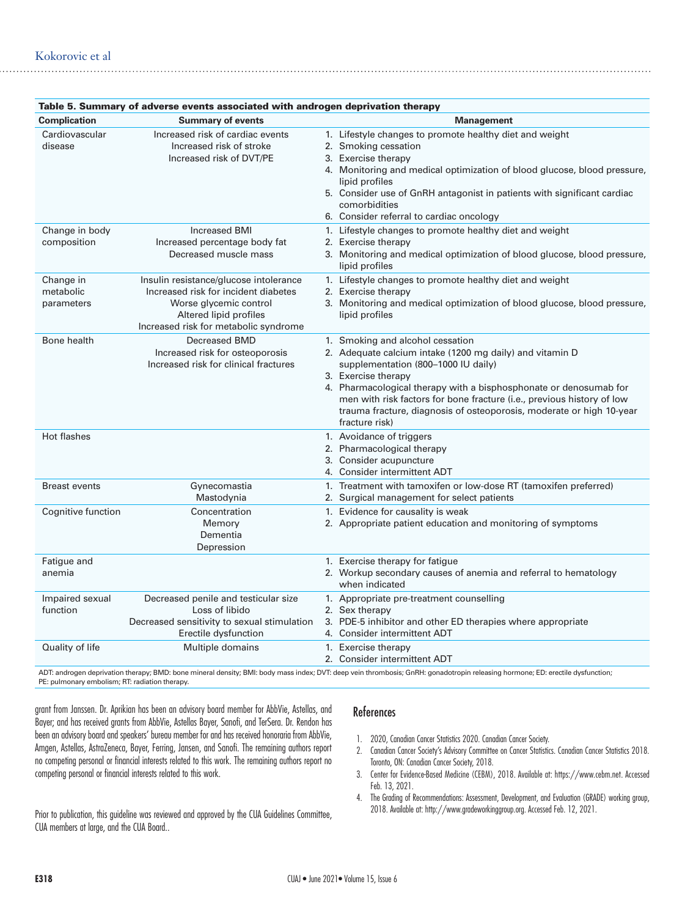| Table 5. Summary of adverse events associated with androgen deprivation therapy |                                                                                                                                                                             |                                                                                                                                                                                                                                                                                                                                                                                                     |  |  |  |
|---------------------------------------------------------------------------------|-----------------------------------------------------------------------------------------------------------------------------------------------------------------------------|-----------------------------------------------------------------------------------------------------------------------------------------------------------------------------------------------------------------------------------------------------------------------------------------------------------------------------------------------------------------------------------------------------|--|--|--|
| <b>Complication</b>                                                             | <b>Summary of events</b>                                                                                                                                                    | <b>Management</b>                                                                                                                                                                                                                                                                                                                                                                                   |  |  |  |
| Cardiovascular<br>disease                                                       | Increased risk of cardiac events<br>Increased risk of stroke<br>Increased risk of DVT/PE                                                                                    | 1. Lifestyle changes to promote healthy diet and weight<br>2. Smoking cessation<br>3. Exercise therapy<br>4. Monitoring and medical optimization of blood glucose, blood pressure,<br>lipid profiles<br>5. Consider use of GnRH antagonist in patients with significant cardiac<br>comorbidities<br>6. Consider referral to cardiac oncology                                                        |  |  |  |
| Change in body<br>composition                                                   | <b>Increased BMI</b><br>Increased percentage body fat<br>Decreased muscle mass                                                                                              | 1. Lifestyle changes to promote healthy diet and weight<br>2. Exercise therapy<br>3. Monitoring and medical optimization of blood glucose, blood pressure,<br>lipid profiles                                                                                                                                                                                                                        |  |  |  |
| Change in<br>metabolic<br>parameters                                            | Insulin resistance/glucose intolerance<br>Increased risk for incident diabetes<br>Worse glycemic control<br>Altered lipid profiles<br>Increased risk for metabolic syndrome | 1. Lifestyle changes to promote healthy diet and weight<br>2. Exercise therapy<br>3. Monitoring and medical optimization of blood glucose, blood pressure,<br>lipid profiles                                                                                                                                                                                                                        |  |  |  |
| Bone health                                                                     | <b>Decreased BMD</b><br>Increased risk for osteoporosis<br>Increased risk for clinical fractures                                                                            | 1. Smoking and alcohol cessation<br>2. Adequate calcium intake (1200 mg daily) and vitamin D<br>supplementation (800-1000 IU daily)<br>3. Exercise therapy<br>4. Pharmacological therapy with a bisphosphonate or denosumab for<br>men with risk factors for bone fracture (i.e., previous history of low<br>trauma fracture, diagnosis of osteoporosis, moderate or high 10-year<br>fracture risk) |  |  |  |
| Hot flashes                                                                     |                                                                                                                                                                             | 1. Avoidance of triggers<br>2. Pharmacological therapy<br>3. Consider acupuncture<br>4. Consider intermittent ADT                                                                                                                                                                                                                                                                                   |  |  |  |
| <b>Breast events</b>                                                            | Gynecomastia<br>Mastodynia                                                                                                                                                  | 1. Treatment with tamoxifen or low-dose RT (tamoxifen preferred)<br>2. Surgical management for select patients                                                                                                                                                                                                                                                                                      |  |  |  |
| Cognitive function                                                              | Concentration<br>Memory<br>Dementia<br>Depression                                                                                                                           | 1. Evidence for causality is weak<br>2. Appropriate patient education and monitoring of symptoms                                                                                                                                                                                                                                                                                                    |  |  |  |
| Fatigue and<br>anemia                                                           |                                                                                                                                                                             | 1. Exercise therapy for fatigue<br>2. Workup secondary causes of anemia and referral to hematology<br>when indicated                                                                                                                                                                                                                                                                                |  |  |  |
| Impaired sexual<br>function                                                     | Decreased penile and testicular size<br>Loss of libido<br>Decreased sensitivity to sexual stimulation<br>Erectile dysfunction                                               | 1. Appropriate pre-treatment counselling<br>2. Sex therapy<br>3. PDE-5 inhibitor and other ED therapies where appropriate<br>4. Consider intermittent ADT                                                                                                                                                                                                                                           |  |  |  |
| Quality of life                                                                 | Multiple domains                                                                                                                                                            | 1. Exercise therapy<br>2. Consider intermittent ADT                                                                                                                                                                                                                                                                                                                                                 |  |  |  |

ADT: androgen deprivation therapy; BMD: bone mineral density; BMI: body mass index; DVT: deep vein thrombosis; GnRH: gonadotropin releasing hormone; ED: erectile dysfunction; PE: pulmonary embolism; RT: radiation therapy.

grant from Janssen. Dr. Aprikian has been an advisory board member for AbbVie, Astellas, and Bayer; and has received grants from AbbVie, Astellas Bayer, Sanofi, and TerSera. Dr. Rendon has been an advisory board and speakers' bureau member for and has received honoraria from AbbVie, Amgen, Astellas, AstraZeneca, Bayer, Ferring, Jansen, and Sanofi. The remaining authors report no competing personal or financial interests related to this work. The remaining authors report no competing personal or financial interests related to this work.

Prior to publication, this guideline was reviewed and approved by the CUA Guidelines Committee, CUA members at large, and the CUA Board..

#### References

- 1. 2020, Canadian Cancer Statistics 2020. Canadian Cancer Society.
- 2. Canadian Cancer Society's Advisory Committee on Cancer Statistics. Canadian Cancer Statistics 2018. Toronto, ON: Canadian Cancer Society, 2018.
- 3. Center for Evidence-Based Medicine (CEBM), 2018. Available at: https://www.cebm.net. Accessed Feb. 13, 2021.
- 4. The Grading of Recommendations: Assessment, Development, and Evaluation (GRADE) working group, 2018. Available at: http://www.gradeworkinggroup.org. Accessed Feb. 12, 2021.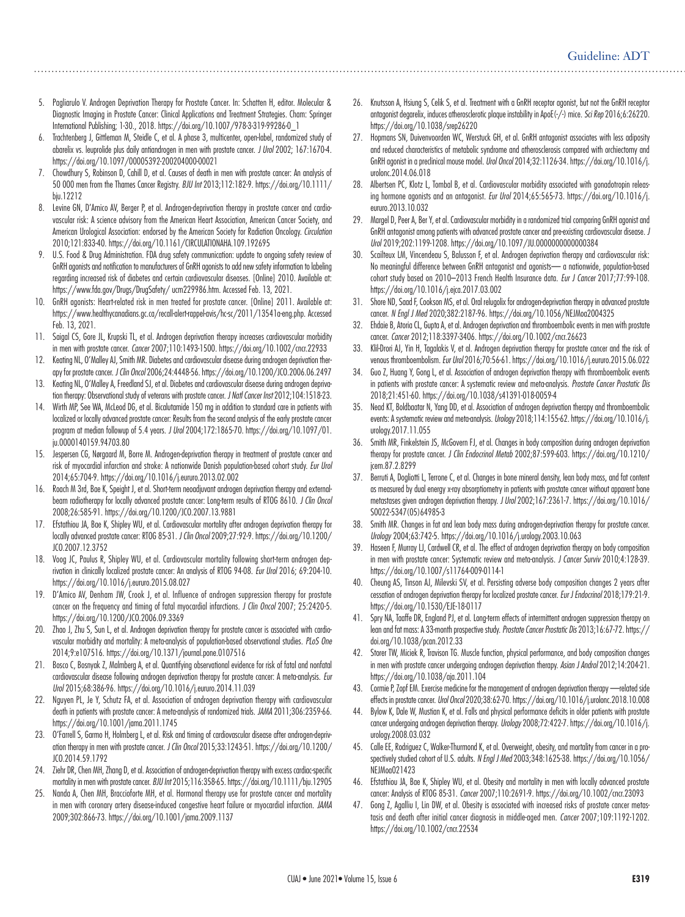- 5. Pagliarulo V. Androgen Deprivation Therapy for Prostate Cancer. In: Schatten H, editor. Molecular & Diagnostic Imaging in Prostate Cancer: Clinical Applications and Treatment Strategies. Cham: Springer International Publishing; 1-30., 2018. https://doi.org/10.1007/978-3-319-99286-0\_1
- 6. Trachtenberg J, Gittleman M, Steidle C, et al. A phase 3, multicenter, open-label, randomized study of abarelix vs. leuprolide plus daily antiandrogen in men with prostate cancer. *J Urol* 2002; 167:1670-4. https://doi.org/10.1097/00005392-200204000-00021
- 7. Chowdhury S, Robinson D, Cahill D, et al. Causes of death in men with prostate cancer: An analysis of 50 000 men from the Thames Cancer Registry. *BJU Int* 2013;112:182-9. https://doi.org/10.1111/ bju.12212
- 8. Levine GN, D'Amico AV, Berger P, et al. Androgen-deprivation therapy in prostate cancer and cardiovascular risk: A science advisory from the American Heart Association, American Cancer Society, and American Urological Association: endorsed by the American Society for Radiation Oncology. *Circulation* 2010;121:833-40. https://doi.org/10.1161/CIRCULATIONAHA.109.192695
- 9. U.S. Food & Drug Administration. FDA drug safety communication: update to ongoing safety review of GnRH agonists and notification to manufacturers of GnRH agonists to add new safety information to labeling regarding increased risk of diabetes and certain cardiovascular diseases. [Online] 2010. Available at: https://www.fda.gov/Drugs/DrugSafety/ ucm229986.htm. Accessed Feb. 13, 2021.
- 10. GnRH agonists: Heart-related risk in men treated for prostate cancer. [Online] 2011. Available at: https://www.healthycanadians.gc.ca/recall-alert-rappel-avis/hc-sc/2011/13541a-eng.php. Accessed Feb. 13, 2021.
- 11. Saigal CS, Gore JL, Krupski TL, et al. Androgen deprivation therapy increases cardiovascular morbidity in men with prostate cancer. *Cancer* 2007;110:1493-1500. https://doi.org/10.1002/cncr.22933
- 12. Keating NL, O'Malley AJ, Smith MR. Diabetes and cardiovascular disease during androgen deprivation therapy for prostate cancer. *J Clin Oncol* 2006;24:4448-56. https://doi.org/10.1200/JCO.2006.06.2497
- 13. Keating NL, O'Malley A, Freedland SJ, et al. Diabetes and cardiovascular disease during androgen deprivation therapy: Observational study of veterans with prostate cancer. *J Natl Cancer Inst* 2012;104:1518-23.
- 14. Wirth MP, See WA, McLeod DG, et al. Bicalutamide 150 mg in addition to standard care in patients with localized or locally advanced prostate cancer: Results from the second analysis of the early prostate cancer program at median followup of 5.4 years. *J Urol* 2004;172:1865-70. https://doi.org/10.1097/01. ju.0000140159.94703.80
- 15. Jespersen CG, Nørgaard M, Borre M. Androgen-deprivation therapy in treatment of prostate cancer and risk of myocardial infarction and stroke: A nationwide Danish population-based cohort study. *Eur Urol* 2014;65:704-9. https://doi.org/10.1016/j.eururo.2013.02.002
- 16. Roach M 3rd, Bae K, Speight J, et al. Short-term neoadjuvant androgen deprivation therapy and externalbeam radiotherapy for locally advanced prostate cancer: Long-term results of RTOG 8610. *J Clin Oncol*  2008;26:585-91. https://doi.org/10.1200/JCO.2007.13.9881
- 17. Efstathiou JA, Bae K, Shipley WU, et al. Cardiovascular mortality after androgen deprivation therapy for locally advanced prostate cancer: RTOG 85-31. *J Clin Oncol* 2009;27:92-9. https://doi.org/10.1200/ JCO.2007.12.3752
- 18. Voog JC, Paulus R, Shipley WU, et al. Cardiovascular mortality following short-term androgen deprivation in clinically localized prostate cancer: An analysis of RTOG 94-08. *Eur Urol* 2016; 69:204-10. https://doi.org/10.1016/j.eururo.2015.08.027
- 19. D'Amico AV, Denham JW, Crook J, et al. Influence of androgen suppression therapy for prostate cancer on the frequency and timing of fatal myocardial infarctions. *J Clin Oncol* 2007; 25:2420-5. https://doi.org/10.1200/JCO.2006.09.3369
- 20. Zhao J, Zhu S, Sun L, et al. Androgen deprivation therapy for prostate cancer is associated with cardiovascular morbidity and mortality: A meta-analysis of population-based observational studies. *PLoS One* 2014;9:e107516. https://doi.org/10.1371/journal.pone.0107516
- 21. Bosco C, Bosnyak Z, Malmberg A, et al. Quantifying observational evidence for risk of fatal and nonfatal cardiovascular disease following androgen deprivation therapy for prostate cancer: A meta-analysis. *Eur Urol* 2015;68:386-96. https://doi.org/10.1016/j.eururo.2014.11.039
- 22. Nguyen PL, Je Y, Schutz FA, et al. Association of androgen deprivation therapy with cardiovascular death in patients with prostate cancer: A meta-analysis of randomized trials. *JAMA* 2011;306:2359-66. https://doi.org/10.1001/jama.2011.1745
- 23. O'Farrell S, Garmo H, Holmberg L, et al. Risk and timing of cardiovascular disease after androgen-deprivation therapy in men with prostate cancer. *J Clin Oncol* 2015;33:1243-51. https://doi.org/10.1200/ JCO.2014.59.1792
- 24. Ziehr DR, Chen MH, Zhang D, et al. Association of androgen-deprivation therapy with excess cardiac-specific mortality in men with prostate cancer. *BJU Int* 2015;116:358-65. https://doi.org/10.1111/bju.12905
- 25. Nanda A, Chen MH, Braccioforte MH, et al. Hormonal therapy use for prostate cancer and mortality in men with coronary artery disease-induced congestive heart failure or myocardial infarction. *JAMA* 2009;302:866-73. https://doi.org/10.1001/jama.2009.1137
- 26. Knutsson A, Hsiung S, Celik S, et al. Treatment with a GnRH receptor agonist, but not the GnRH receptor antagonist degarelix, induces atherosclerotic plaque instability in ApoE(-/-) mice. *Sci Rep* 2016;6:26220. https://doi.org/10.1038/srep26220
- 27. Hopmans SN, Duivenvoorden WC, Werstuck GH, et al. GnRH antagonist associates with less adiposity and reduced characteristics of metabolic syndrome and atherosclerosis compared with orchiectomy and GnRH agonist in a preclinical mouse model. *Urol Oncol* 2014;32:1126-34. https://doi.org/10.1016/j. urolonc.2014.06.018
- 28. Albertsen PC, Klotz L, Tombal B, et al. Cardiovascular morbidity associated with gonadotropin releasing hormone agonists and an antagonist. *Eur Urol* 2014;65:565-73. https://doi.org/10.1016/j. eururo.2013.10.032
- 29. Margel D, Peer A, Ber Y, et al. Cardiovascular morbidity in a randomized trial comparing GnRH agonist and GnRH antagonist among patients with advanced prostate cancer and pre-existing cardiovascular disease. *J Urol* 2019;202:1199-1208. https://doi.org/10.1097/JU.0000000000000384
- 30. Scailteux LM, Vincendeau S, Balusson F, et al. Androgen deprivation therapy and cardiovascular risk: No meaningful difference between GnRH antagonist and agonists— a nationwide, population-based cohort study based on 2010–2013 French Health Insurance data. *Eur J Cancer* 2017;77:99-108. https://doi.org/10.1016/j.ejca.2017.03.002
- 31. Shore ND, Saad F, Cookson MS, et al. Oral relugolix for androgen-deprivation therapy in advanced prostate cancer. *N Engl J Med* 2020;382:2187-96. https://doi.org/10.1056/NEJMoa2004325
- 32. Ehdaie B, Atoria CL, Gupta A, et al. Androgen deprivation and thromboembolic events in men with prostate cancer. *Cancer* 2012;118:3397-3406. https://doi.org/10.1002/cncr.26623
- 33. Klil-Drori AJ, Yin H, Tagalakis V, et al. Androgen deprivation therapy for prostate cancer and the risk of venous thromboembolism*. Eur Urol* 2016;70:56-61. https://doi.org/10.1016/j.eururo.2015.06.022
- 34. Guo Z, Huang Y, Gong L, et al. Association of androgen deprivation therapy with thromboembolic events in patients with prostate cancer: A systematic review and meta-analysis. *Prostate Cancer Prostatic Dis* 2018;21:451-60. https://doi.org/10.1038/s41391-018-0059-4
- 35. Nead KT, Boldbaatar N, Yang DD, et al. Association of androgen deprivation therapy and thromboembolic events: A systematic review and meta-analysis. *Urology* 2018;114:155-62. https://doi.org/10.1016/j. urology.2017.11.055
- 36. Smith MR, Finkelstein JS, McGovern FJ, et al. Changes in body composition during androgen deprivation therapy for prostate cancer. *J Clin Endocrinol Metab* 2002;87:599-603. https://doi.org/10.1210/ jcem.87.2.8299
- 37. Berruti A, Dogliotti L, Terrone C, et al. Changes in bone mineral density, lean body mass, and fat content as measured by dual energy x-ray absorptiometry in patients with prostate cancer without apparent bone metastases given androgen deprivation therapy. *J Urol* 2002;167:2361-7. https://doi.org/10.1016/ S0022-5347(05)64985-3
- 38. Smith MR. Changes in fat and lean body mass during androgen-deprivation therapy for prostate cancer. *Urology* 2004;63:742-5. https://doi.org/10.1016/j.urology.2003.10.063
- 39. Haseen F, Murray LJ, Cardwell CR, et al. The effect of androgen deprivation therapy on body composition in men with prostate cancer: Systematic review and meta-analysis. *J Cancer Surviv* 2010;4:128-39. https://doi.org/10.1007/s11764-009-0114-1
- 40. Cheung AS, Tinson AJ, Milevski SV, et al. Persisting adverse body composition changes 2 years after cessation of androgen deprivation therapy for localized prostate cancer. *Eur J Endocrinol* 2018;179:21-9. https://doi.org/10.1530/EJE-18-0117
- 41. Spry NA, Taaffe DR, England PJ, et al. Long-term effects of intermittent androgen suppression therapy on lean and fat mass: A 33-month prospective study. *Prostate Cancer Prostatic Dis* 2013;16:67-72. https:// doi.org/10.1038/pcan.2012.33
- 42. Storer TW, Miciek R, Travison TG. Muscle function, physical performance, and body composition changes in men with prostate cancer undergoing androgen deprivation therapy. *Asian J Androl* 2012;14:204-21. https://doi.org/10.1038/aja.2011.104
- 43. Cormie P, Zopf EM. Exercise medicine for the management of androgen deprivation therapy —related side effects in prostate cancer. *Urol Oncol* 2020;38:62-70. https://doi.org/10.1016/j.urolonc.2018.10.008
- 44. Bylow K, Dale W, Mustian K, et al. Falls and physical performance deficits in older patients with prostate cancer undergoing androgen deprivation therapy. *Urology* 2008;72:422-7. https://doi.org/10.1016/j. urology.2008.03.032
- 45. Calle EE, Rodriguez C, Walker-Thurmond K, et al. Overweight, obesity, and mortality from cancer in a prospectively studied cohort of U.S. adults. *N Engl J Med* 2003;348:1625-38. https://doi.org/10.1056/ NEJMoa021423
- 46. Efstathiou JA, Bae K, Shipley WU, et al. Obesity and mortality in men with locally advanced prostate cancer: Analysis of RTOG 85-31. *Cancer* 2007;110:2691-9. https://doi.org/10.1002/cncr.23093
- 47. Gong Z, Agalliu I, Lin DW, et al. Obesity is associated with increased risks of prostate cancer metastasis and death after initial cancer diagnosis in middle-aged men. *Cancer* 2007;109:1192-1202. https://doi.org/10.1002/cncr.22534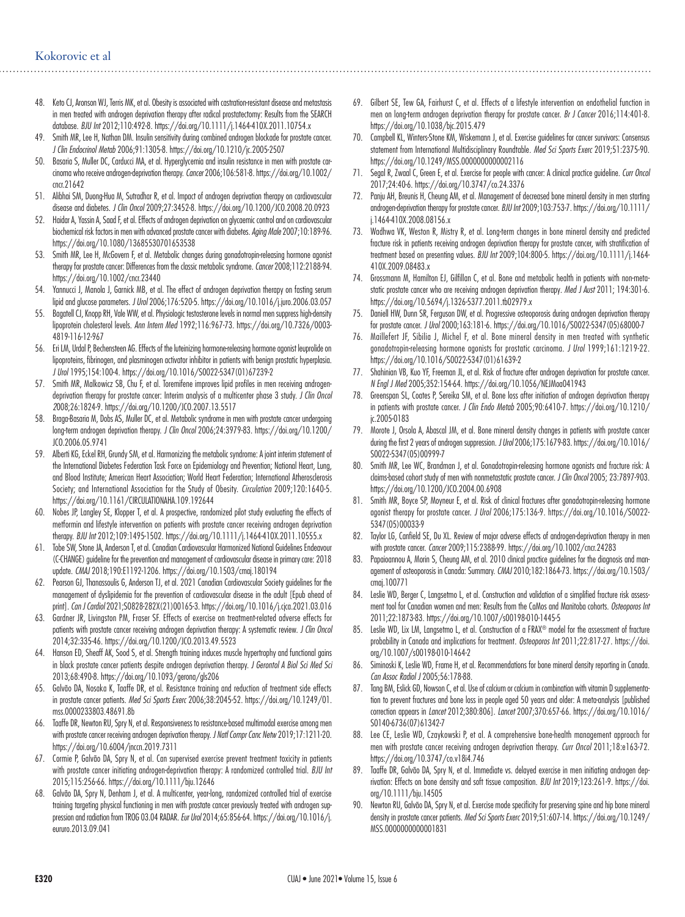- 48. Keto CJ, Aronson WJ, Terris MK, et al. Obesity is associated with castration-resistant disease and metastasis in men treated with androgen deprivation therapy after radical prostatectomy: Results from the SEARCH database. *BJU Int* 2012;110:492-8. https://doi.org/10.1111/j.1464-410X.2011.10754.x
- 49. Smith MR, Lee H, Nathan DM. Insulin sensitivity during combined androgen blockade for prostate cancer. *J Clin Endocrinol Metab* 2006;91:1305-8. https://doi.org/10.1210/jc.2005-2507
- 50. Basaria S, Muller DC, Carducci MA, et al. Hyperglycemia and insulin resistance in men with prostate carcinoma who receive androgen-deprivation therapy. *Cancer* 2006;106:581-8. https://doi.org/10.1002/ cncr.21642
- 51. Alibhai SM, Duong-Hua M, Sutradhar R, et al. Impact of androgen deprivation therapy on cardiovascular disease and diabetes. *J Clin Oncol* 2009;27:3452-8. https://doi.org/10.1200/JCO.2008.20.0923
- 52. Haidar A, Yassin A, Saad F, et al. Effects of androgen deprivation on glycaemic control and on cardiovascular biochemical risk factors in men with advanced prostate cancer with diabetes. *Aging Male* 2007;10:189-96. https://doi.org/10.1080/13685530701653538
- 53. Smith MR, Lee H, McGovern F, et al. Metabolic changes during gonadotropin-releasing hormone agonist therapy for prostate cancer: Differences from the classic metabolic syndrome. *Cancer* 2008;112:2188-94. https://doi.org/10.1002/cncr.23440
- 54. Yannucci J, Manola J, Garnick MB, et al. The effect of androgen deprivation therapy on fasting serum lipid and glucose parameters. *J Urol* 2006;176:520-5. https://doi.org/10.1016/j.juro.2006.03.057
- 55. Bagatell CJ, Knopp RH, Vale WW, et al. Physiologic testosterone levels in normal men suppress high-density lipoprotein cholesterol levels. *Ann Intern Med* 1992;116:967-73. https://doi.org/10.7326/0003- 4819-116-12-967
- 56. Eri LM, Urdal P, Bechensteen AG. Effects of the luteinizing hormone-releasing hormone agonist leuprolide on lipoproteins, fibrinogen, and plasminogen activator inhibitor in patients with benign prostatic hyperplasia. *J Urol* 1995;154:100-4. https://doi.org/10.1016/S0022-5347(01)67239-2
- 57. Smith MR, Malkowicz SB, Chu F, et al. Toremifene improves lipid profiles in men receiving androgendeprivation therapy for prostate cancer: Interim analysis of a multicenter phase 3 study. *J Clin Oncol 2*008;26:1824-9. https://doi.org/10.1200/JCO.2007.13.5517
- 58. Braga-Basaria M, Dobs AS, Muller DC, et al. Metabolic syndrome in men with prostate cancer undergoing long-term androgen deprivation therapy. *J Clin Oncol* 2006;24:3979-83. https://doi.org/10.1200/ JCO.2006.05.9741
- 59. Alberti KG, Eckel RH, Grundy SM, et al. Harmonizing the metabolic syndrome: A joint interim statement of the International Diabetes Federation Task Force on Epidemiology and Prevention; National Heart, Lung, and Blood Institute; American Heart Association; World Heart Federation; International Atherosclerosis Society; and International Association for the Study of Obesity. *Circulation* 2009;120:1640-5. https://doi.org/10.1161/CIRCULATIONAHA.109.192644
- 60. Nobes JP, Langley SE, Klopper T, et al. A prospective, randomized pilot study evaluating the effects of metformin and lifestyle intervention on patients with prostate cancer receiving androgen deprivation therapy. *BJU Int* 2012;109:1495-1502. https://doi.org/10.1111/j.1464-410X.2011.10555.x
- 61. Tobe SW, Stone JA, Anderson T, et al. Canadian Cardiovascular Harmonized National Guidelines Endeavour (C-CHANGE) guideline for the prevention and management of cardiovascular disease in primary care: 2018 update. *CMAJ* 2018;190:E1192-1206. https://doi.org/10.1503/cmaj.180194
- 62. Pearson GJ, Thanassoulis G, Anderson TJ, et al. 2021 Canadian Cardiovascular Society guidelines for the management of dyslipidemia for the prevention of cardiovascular disease in the adult [Epub ahead of print]. *Can J Cardiol* 2021;S0828-282X(21)00165-3. https://doi.org/10.1016/j.cjca.2021.03.016
- 63. Gardner JR, Livingston PM, Fraser SF. Effects of exercise on treatment-related adverse effects for patients with prostate cancer receiving androgen deprivation therapy: A systematic review. *J Clin Oncol*  2014;32:335-46. https://doi.org/10.1200/JCO.2013.49.5523
- 64. Hanson ED, Sheaff AK, Sood S, et al. Strength training induces muscle hypertrophy and functional gains in black prostate cancer patients despite androgen deprivation therapy. *J Gerontol A Biol Sci Med Sci* 2013;68:490-8. https://doi.org/10.1093/gerona/gls206
- 65. Galvão DA, Nosaka K, Taaffe DR, et al. Resistance training and reduction of treatment side effects in prostate cancer patients. *Med Sci Sports Exerc* 2006;38:2045-52. https://doi.org/10.1249/01. mss.0000233803.48691.8b
- 66. Taaffe DR, Newton RU, Spry N, et al. Responsiveness to resistance-based multimodal exercise among men with prostate cancer receiving androgen deprivation therapy. *J Natl Compr Canc Netw* 2019;17:1211-20. https://doi.org/10.6004/jnccn.2019.7311
- 67. Cormie P, Galvão DA, Spry N, et al. Can supervised exercise prevent treatment toxicity in patients with prostate cancer initiating androgen-deprivation therapy: A randomized controlled trial. *BJU Int*  2015;115:256-66. https://doi.org/10.1111/bju.12646
- 68. Galvão DA, Spry N, Denham J, et al. A multicenter, year-long, randomized controlled trial of exercise training targeting physical functioning in men with prostate cancer previously treated with androgen suppression and radiation from TROG 03.04 RADAR. *Eur Urol* 2014;65:856-64. https://doi.org/10.1016/j. eururo.2013.09.041
- 69. Gilbert SE, Tew GA, Fairhurst C, et al. Effects of a lifestyle intervention on endothelial function in men on long-term androgen deprivation therapy for prostate cancer. *Br J Cancer* 2016;114:401-8. https://doi.org/10.1038/bjc.2015.479
- 70. Campbell KL, Winters-Stone KM, Wiskemann J, et al. Exercise guidelines for cancer survivors: Consensus statement from International Multidisciplinary Roundtable*. Med Sci Sports Exerc* 2019;51:2375-90. https://doi.org/10.1249/MSS.0000000000002116
- 71. Segal R, Zwaal C, Green E, et al. Exercise for people with cancer: A clinical practice guideline. *Curr Oncol* 2017;24:40-6. https://doi.org/10.3747/co.24.3376
- 72. Panju AH, Breunis H, Cheung AM, et al. Management of decreased bone mineral density in men starting androgen-deprivation therapy for prostate cancer. *BJU Int* 2009;103:753-7. https://doi.org/10.1111/ j.1464-410X.2008.08156.x
- 73. Wadhwa VK, Weston R, Mistry R, et al. Long-term changes in bone mineral density and predicted fracture risk in patients receiving androgen deprivation therapy for prostate cancer, with stratification of treatment based on presenting values. *BJU Int* 2009;104:800-5. https://doi.org/10.1111/j.1464- 410X.2009.08483.x
- 74. Grossmann M, Hamilton EJ, Gilfillan C, et al. Bone and metabolic health in patients with non-metastatic prostate cancer who are receiving androgen deprivation therapy*. Med J Aust* 2011; 194:301-6. https://doi.org/10.5694/j.1326-5377.2011.tb02979.x
- 75. Daniell HW, Dunn SR, Ferguson DW, et al. Progressive osteoporosis during androgen deprivation therapy for prostate cancer. *J Urol* 2000;163:181-6. https://doi.org/10.1016/S0022-5347(05)68000-7
- 76. Maillefert JF, Sibilia J, Michel F, et al. Bone mineral density in men treated with synthetic gonadotropin-releasing hormone agonists for prostatic carcinoma. *J Urol* 1999;161:1219-22. https://doi.org/10.1016/S0022-5347(01)61639-2
- 77. Shahinian VB, Kuo YF, Freeman JL, et al. Risk of fracture after androgen deprivation for prostate cancer. *N Engl J Med* 2005;352:154-64. https://doi.org/10.1056/NEJMoa041943
- 78. Greenspan SL, Coates P, Sereika SM, et al. Bone loss after initiation of androgen deprivation therapy in patients with prostate cancer. *J Clin Endo Metab* 2005;90:6410-7. https://doi.org/10.1210/ jc.2005-0183
- 79. Morote J, Orsola A, Abascal JM, et al. Bone mineral density changes in patients with prostate cancer during the first 2 years of androgen suppression. *J Urol* 2006;175:1679-83. https://doi.org/10.1016/ S0022-5347(05)00999-7
- 80. Smith MR, Lee WC, Brandman J, et al. Gonadotropin-releasing hormone agonists and fracture risk: A claims-based cohort study of men with nonmetastatic prostate cancer. *J Clin Oncol* 2005; 23:7897-903. https://doi.org/10.1200/JCO.2004.00.6908
- 81. Smith MR, Boyce SP, Moyneur E, et al. Risk of clinical fractures after gonadotropin-releasing hormone agonist therapy for prostate cancer. *J Urol* 2006;175:136-9. https://doi.org/10.1016/S0022- 5347(05)00033-9
- 82. Taylor LG, Canfield SE, Du XL. Review of major adverse effects of androgen-deprivation therapy in men with prostate cancer. *Cancer* 2009;115:2388-99. https://doi.org/10.1002/cncr.24283
- 83. Papaioannou A, Morin S, Cheung AM, et al. 2010 clinical practice guidelines for the diagnosis and management of osteoporosis in Canada: Summary. *CMAJ* 2010;182:1864-73. https://doi.org/10.1503/ cmaj.100771
- 84. Leslie WD, Berger C, Langsetmo L, et al. Construction and validation of a simplified fracture risk assessment tool for Canadian women and men: Results from the CaMos and Manitoba cohorts. *Osteoporos Int* 2011;22:1873-83. https://doi.org/10.1007/s00198-010-1445-5
- 85. Leslie WD, Lix LM, Langsetmo L, et al. Construction of a FRAX® model for the assessment of fracture probability in Canada and implications for treatment. *Osteoporos Int* 2011;22:817-27. https://doi. org/10.1007/s00198-010-1464-2
- 86. Siminoski K, Leslie WD, Frame H, et al. Recommendations for bone mineral density reporting in Canada. *Can Assoc Radiol J* 2005;56:178-88.
- 87. Tang BM, Eslick GD, Nowson C, et al. Use of calcium or calcium in combination with vitamin D supplementation to prevent fractures and bone loss in people aged 50 years and older: A meta-analysis [published correction appears in *Lancet* 2012;380:806]. *Lancet* 2007;370:657-66. https://doi.org/10.1016/ S0140-6736(07)61342-7
- 88. Lee CE, Leslie WD, Czaykowski P, et al. A comprehensive bone-health management approach for men with prostate cancer receiving androgen deprivation therapy. *Curr Oncol* 2011;18:e163-72. https://doi.org/10.3747/co.v18i4.746
- 89. Taaffe DR, Galvão DA, Spry N, et al. Immediate vs. delayed exercise in men initiating androgen deprivation: Effects on bone density and soft tissue composition. *BJU Int* 2019;123:261-9. https://doi. org/10.1111/bju.14505
- 90. Newton RU, Galvão DA, Spry N, et al. Exercise mode specificity for preserving spine and hip bone mineral density in prostate cancer patients. *Med Sci Sports Exerc* 2019;51:607-14. https://doi.org/10.1249/ MSS.0000000000001831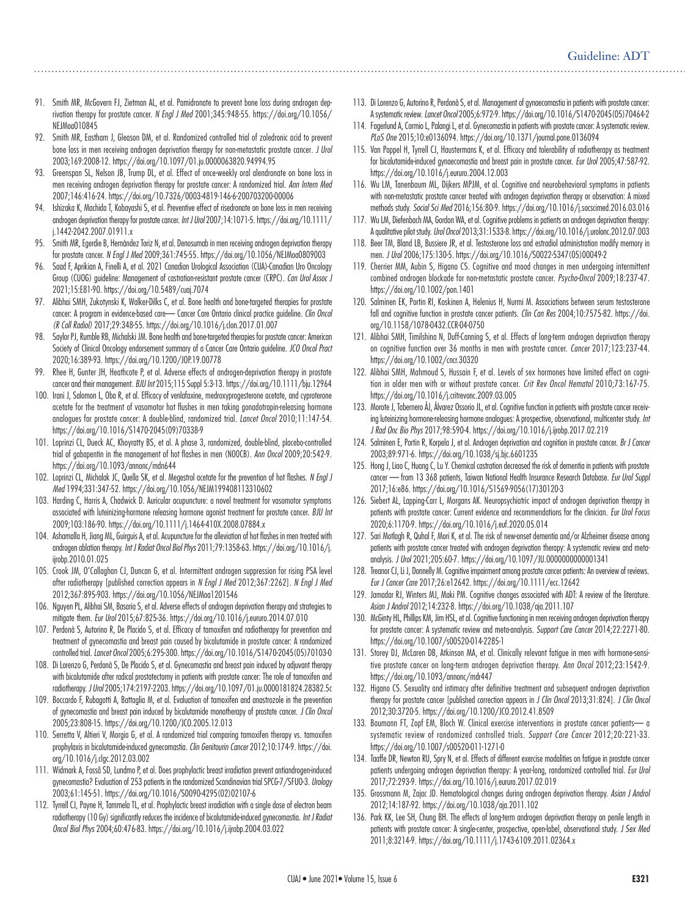- 91. Smith MR, McGovern FJ, Zietman AL, et al. Pamidronate to prevent bone loss during androgen deprivation therapy for prostate cancer. *N Engl J Med* 2001;345:948-55. https://doi.org/10.1056/ NEJMoa010845
- 92. Smith MR, Eastham J, Gleason DM, et al. Randomized controlled trial of zoledronic acid to prevent bone loss in men receiving androgen deprivation therapy for non-metastatic prostate cancer*. J Urol* 2003;169:2008-12. https://doi.org/10.1097/01.ju.0000063820.94994.95
- 93. Greenspan SL, Nelson JB, Trump DL, et al. Effect of once-weekly oral alendronate on bone loss in men receiving androgen deprivation therapy for prostate cancer: A randomized trial. *Ann Intern Med* 2007;146:416-24. https://doi.org/10.7326/0003-4819-146-6-200703200-00006
- 94. Ishizaka K, Machida T, Kobayashi S, et al. Preventive effect of risedronate on bone loss in men receiving androgen deprivation therapy for prostate cancer. *Int J Urol* 2007;14:1071-5. https://doi.org/10.1111/ j.1442-2042.2007.01911.x
- 95. Smith MR, Egerdie B, Hernández Toriz N, et al. Denosumab in men receiving androgen deprivation therapy for prostate cancer. *N Engl J Med* 2009;361:745-55. https://doi.org/10.1056/NEJMoa0809003
- 96. Saad F, Aprikian A, Finelli A, et al. 2021 Canadian Urological Association (CUA)-Canadian Uro Oncology Group (CUOG) guideline: Management of castration-resistant prostate cancer (CRPC). *Can Urol Assoc J*  2021;15:E81-90. https://doi.org/10.5489/cuaj.7074
- 97. Alibhai SMH, Zukotynski K, Walker-Dilks C, et al. Bone health and bone-targeted therapies for prostate cancer: A program in evidence-based care— Cancer Care Ontario clinical practice guideline. *Clin Oncol (R Coll Radiol)* 2017;29:348-55. https://doi.org/10.1016/j.clon.2017.01.007
- 98. Saylor PJ, Rumble RB, Michalski JM. Bone health and bone-targeted therapies for prostate cancer: American Society of Clinical Oncology endorsement summary of a Cancer Care Ontario guideline. *JCO Oncol Pract* 2020;16:389-93. https://doi.org/10.1200/JOP.19.00778
- 99. Rhee H, Gunter JH, Heathcote P, et al. Adverse effects of androgen-deprivation therapy in prostate cancer and their management. *BJU Int* 2015;115 Suppl 5:3-13. https://doi.org/10.1111/bju.12964
- 100. Irani J, Salomon L, Oba R, et al. Efficacy of venlafaxine, medroxyprogesterone acetate, and cyproterone acetate for the treatment of vasomotor hot flushes in men taking gonadotropin-releasing hormone analogues for prostate cancer: A double-blind, randomized trial. *Lancet Oncol* 2010;11:147-54. https://doi.org/10.1016/S1470-2045(09)70338-9
- 101. Loprinzi CL, Dueck AC, Khoyratty BS, et al. A phase 3, randomized, double-blind, placebo-controlled trial of gabapentin in the management of hot flashes in men (N00CB). *Ann Oncol* 2009;20:542-9. https://doi.org/10.1093/annonc/mdn644
- 102. Loprinzi CL, Michalak JC, Quella SK, et al. Megestrol acetate for the prevention of hot flashes. *N Engl J Med* 1994;331:347-52. https://doi.org/10.1056/NEJM199408113310602
- 103. Harding C, Harris A, Chadwick D. Auricular acupuncture: a novel treatment for vasomotor symptoms associated with luteinizing-hormone releasing hormone agonist treatment for prostate cancer. *BJU Int* 2009;103:186-90. https://doi.org/10.1111/j.1464-410X.2008.07884.x
- 104. Ashamalla H, Jiang ML, Guirguis A, et al. Acupuncture for the alleviation of hot flashes in men treated with androgen ablation therapy. *Int J Radiat Oncol Biol Phys* 2011;79:1358-63. https://doi.org/10.1016/j. ijrobp.2010.01.025
- 105. Crook JM, O'Callaghan CJ, Duncan G, et al. Intermittent androgen suppression for rising PSA level after radiotherapy [published correction appears in *N Engl J Med* 2012;367:2262]. *N Engl J Med* 2012;367:895-903. https://doi.org/10.1056/NEJMoa1201546
- 106. Nguyen PL, Alibhai SM, Basaria S, et al. Adverse effects of androgen deprivation therapy and strategies to mitigate them. *Eur Urol* 2015;67:825-36. https://doi.org/10.1016/j.eururo.2014.07.010
- 107. Perdonà S, Autorino R, De Placido S, et al. Efficacy of tamoxifen and radiotherapy for prevention and treatment of gynecomastia and breast pain caused by bicalutamide in prostate cancer: A randomized controlled trial. *Lancet Oncol* 2005;6:295-300. https://doi.org/10.1016/S1470-2045(05)70103-0
- 108. Di Lorenzo G, Perdonà S, De Placido S, et al. Gynecomastia and breast pain induced by adjuvant therapy with bicalutamide after radical prostatectomy in patients with prostate cancer: The role of tamoxifen and radiotherapy. *J Urol* 2005;174:2197-2203. https://doi.org/10.1097/01.ju.0000181824.28382.5c
- 109. Boccardo F, Rubagotti A, Battaglia M, et al. Evaluation of tamoxifen and anastrozole in the prevention of gynecomastia and breast pain induced by bicalutamide monotherapy of prostate cancer. *J Clin Oncol* 2005;23:808-15. https://doi.org/10.1200/JCO.2005.12.013
- 110. Serretta V, Altieri V, Morgia G, et al. A randomized trial comparing tamoxifen therapy vs. tamoxifen prophylaxis in bicalutamide-induced gynecomastia. *Clin Genitourin Cancer* 2012;10:174-9. https://doi. org/10.1016/j.clgc.2012.03.002
- 111. Widmark A, Fosså SD, Lundmo P, et al. Does prophylactic breast irradiation prevent antiandrogen-induced gynecomastia? Evaluation of 253 patients in the randomized Scandinavian trial SPCG-7/SFUO-3. *Urology* 2003;61:145-51. https://doi.org/10.1016/S0090-4295(02)02107-6
- 112. Tyrrell CJ, Payne H, Tammela TL, et al. Prophylactic breast irradiation with a single dose of electron beam radiotherapy (10 Gy) significantly reduces the incidence of bicalutamide-induced gynecomastia. *Int J Radiat Oncol Biol Phys* 2004;60:476-83. https://doi.org/10.1016/j.ijrobp.2004.03.022
- 113. Di Lorenzo G, Autorino R, Perdonà S, et al. Management of gynaecomastia in patients with prostate cancer: A systematic review. *Lancet Oncol* 2005;6:972-9. https://doi.org/10.1016/S1470-2045(05)70464-2
- 114. Fagerlund A, Cormio L, Palangi L, et al. Gynecomastia in patients with prostate cancer: A systematic review. *PLoS One* 2015;10:e0136094. https://doi.org/10.1371/journal.pone.0136094
- 115. Van Poppel H, Tyrrell CJ, Haustermans K, et al. Efficacy and tolerability of radiotherapy as treatment for bicalutamide-induced gynaecomastia and breast pain in prostate cancer. *Eur Urol* 2005;47:587-92. https://doi.org/10.1016/j.eururo.2004.12.003
- 116. Wu LM, Tanenbaum ML, Dijkers MPJM, et al. Cognitive and neurobehavioral symptoms in patients with non-metastatic prostate cancer treated with androgen deprivation therapy or observation: A mixed methods study. *Social Sci Med* 2016;156:80-9. https://doi.org/10.1016/j.socscimed.2016.03.016
- 117. Wu LM, Diefenbach MA, Gordon WA, et al. Cognitive problems in patients on androgen deprivation therapy: A qualitative pilot study. *Urol Oncol* 2013;31:1533-8. https://doi.org/10.1016/j.urolonc.2012.07.003
- 118. Beer TM, Bland LB, Bussiere JR, et al. Testosterone loss and estradiol administration modify memory in men. *J Urol* 2006;175:130-5. https://doi.org/10.1016/S0022-5347(05)00049-2
- 119. Cherrier MM, Aubin S, Higano CS. Cognitive and mood changes in men undergoing intermittent combined androgen blockade for non-metastatic prostate cancer. *Psycho-Oncol* 2009;18:237-47. https://doi.org/10.1002/pon.1401
- 120. Salminen EK, Portin RI, Koskinen A, Helenius H, Nurmi M. Associations between serum testosterone fall and cognitive function in prostate cancer patients. *Clin Can Res* 2004;10:7575-82. https://doi. org/10.1158/1078-0432.CCR-04-0750
- 121. Alibhai SMH, Timilshina N, Duff-Canning S, et al. Effects of long-term androgen deprivation therapy on cognitive function over 36 months in men with prostate cancer. *Cancer* 2017;123:237-44. https://doi.org/10.1002/cncr.30320
- 122. Alibhai SMH, Mahmoud S, Hussain F, et al. Levels of sex hormones have limited effect on cognition in older men with or without prostate cancer. *Crit Rev Oncol Hematol* 2010;73:167-75. https://doi.org/10.1016/j.critrevonc.2009.03.005
- 123. Morote J, Tabernero ÁJ, Álvarez Ossorio JL, et al. Cognitive function in patients with prostate cancer receiving luteinizing hormone-releasing hormone analogues: A prospective, observational, multicenter study. *Int J Rad Onc Bio Phys* 2017;98:590-4. https://doi.org/10.1016/j.ijrobp.2017.02.219
- 124. Salminen E, Portin R, Korpela J, et al. Androgen deprivation and cognition in prostate cancer. *Br J Cancer* 2003;89:971-6. https://doi.org/10.1038/sj.bjc.6601235
- 125. Hong J, Liao C, Huang C, Lu Y. Chemical castration decreased the risk of dementia in patients with prostate cancer — from 13 368 patients, Taiwan National Health Insurance Research Database. *Eur Urol Suppl*  2017;16:e86. https://doi.org/10.1016/S1569-9056(17)30120-3
- 126. Siebert AL, Lapping-Carr L, Morgans AK. Neuropsychiatric impact of androgen deprivation therapy in patients with prostate cancer: Current evidence and recommendations for the clinician. *Eur Urol Focus* 2020;6:1170-9. https://doi.org/10.1016/j.euf.2020.05.014
- 127. Sari Motlagh R, Quhal F, Mori K, et al. The risk of new-onset dementia and/or Alzheimer disease among patients with prostate cancer treated with androgen deprivation therapy: A systematic review and metaanalysis. *J Urol* 2021;205:60-7. https://doi.org/10.1097/JU.0000000000001341
- 128. Treanor CJ, Li J, Donnelly M. Cognitive impairment among prostate cancer patients: An overview of reviews. *Eur J Cancer Care* 2017;26:e12642. https://doi.org/10.1111/ecc.12642
- 129. Jamadar RJ, Winters MJ, Maki PM. Cognitive changes associated with ADT: A review of the literature. *Asian J Androl* 2012;14:232-8. https://doi.org/10.1038/aja.2011.107
- 130. McGinty HL, Phillips KM, Jim HSL, et al. Cognitive functioning in men receiving androgen deprivation therapy for prostate cancer: A systematic review and meta-analysis. *Support Care Cancer* 2014;22:2271-80. https://doi.org/10.1007/s00520-014-2285-1
- 131. Storey DJ, McLaren DB, Atkinson MA, et al. Clinically relevant fatigue in men with hormone-sensitive prostate cancer on long-term androgen deprivation therapy. *Ann Oncol* 2012;23:1542-9. https://doi.org/10.1093/annonc/mdr447
- 132. Higano CS. Sexuality and intimacy after definitive treatment and subsequent androgen deprivation therapy for prostate cancer [published correction appears in *J Clin Oncol* 2013;31:824]. *J Clin Oncol* 2012;30:3720-5. https://doi.org/10.1200/JCO.2012.41.8509
- 133. Baumann FT, Zopf EM, Bloch W. Clinical exercise interventions in prostate cancer patients— a systematic review of randomized controlled trials. *Support Care Cancer* 2012;20:221-33. https://doi.org/10.1007/s00520-011-1271-0
- 134. Taaffe DR, Newton RU, Spry N, et al. Effects of different exercise modalities on fatigue in prostate cancer patients undergoing androgen deprivation therapy: A year-long, randomized controlled trial. *Eur Urol* 2017;72:293-9. https://doi.org/10.1016/j.eururo.2017.02.019
- 135. Grossmann M, Zajac JD. Hematological changes during androgen deprivation therapy. *Asian J Androl* 2012;14:187-92. https://doi.org/10.1038/aja.2011.102
- 136. Park KK, Lee SH, Chung BH. The effects of long-term androgen deprivation therapy on penile length in patients with prostate cancer: A single-center, prospective, open-label, observational study. *J Sex Med*  2011;8:3214-9. https://doi.org/10.1111/j.1743-6109.2011.02364.x